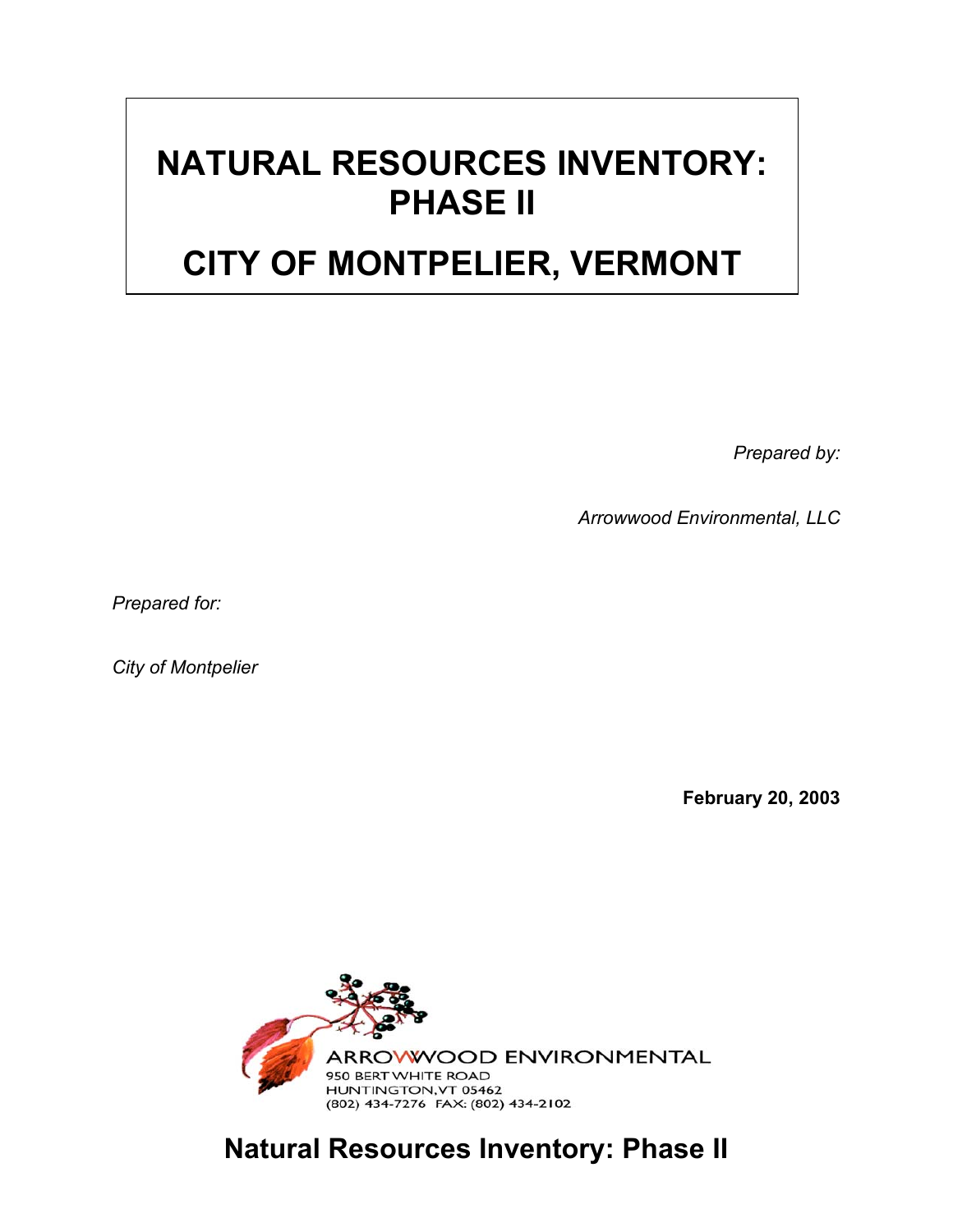## **NATURAL RESOURCES INVENTORY: PHASE II**

## **CITY OF MONTPELIER, VERMONT**

*Prepared by:*

*Arrowwood Environmental, LLC*

*Prepared for:*

*City of Montpelier*

**February 20, 2003**



**Natural Resources Inventory: Phase II**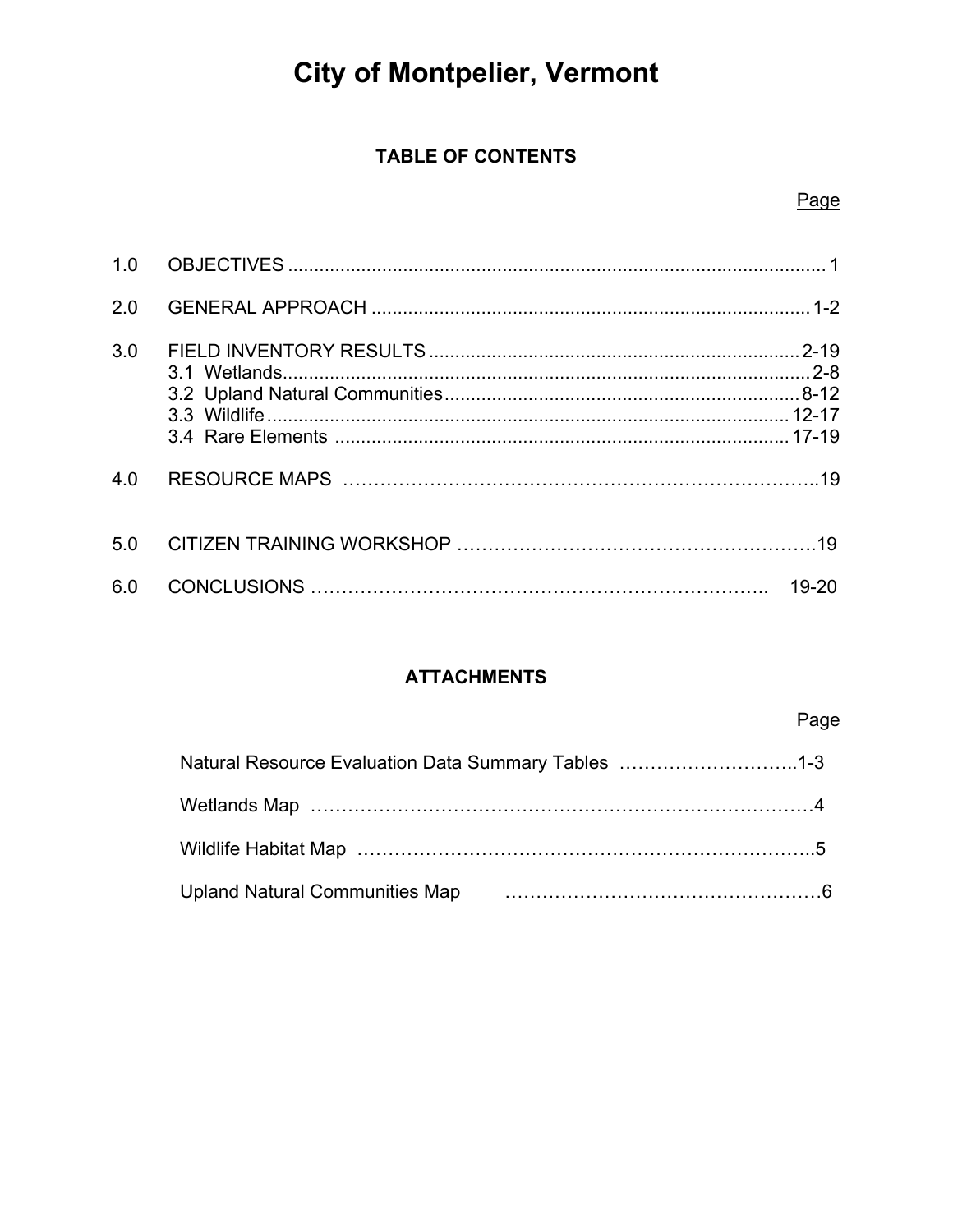# **City of Montpelier, Vermont**

### **TABLE OF CONTENTS**

### Page

| 1.0 |  |
|-----|--|
| 2.0 |  |
| 3.0 |  |
|     |  |
|     |  |
|     |  |
|     |  |
| 4.0 |  |
| 5.0 |  |
| 6.0 |  |

#### **ATTACHMENTS**

### Page

| Natural Resource Evaluation Data Summary Tables 1-3 |  |
|-----------------------------------------------------|--|
|                                                     |  |
|                                                     |  |
| <b>Upland Natural Communities Map</b>               |  |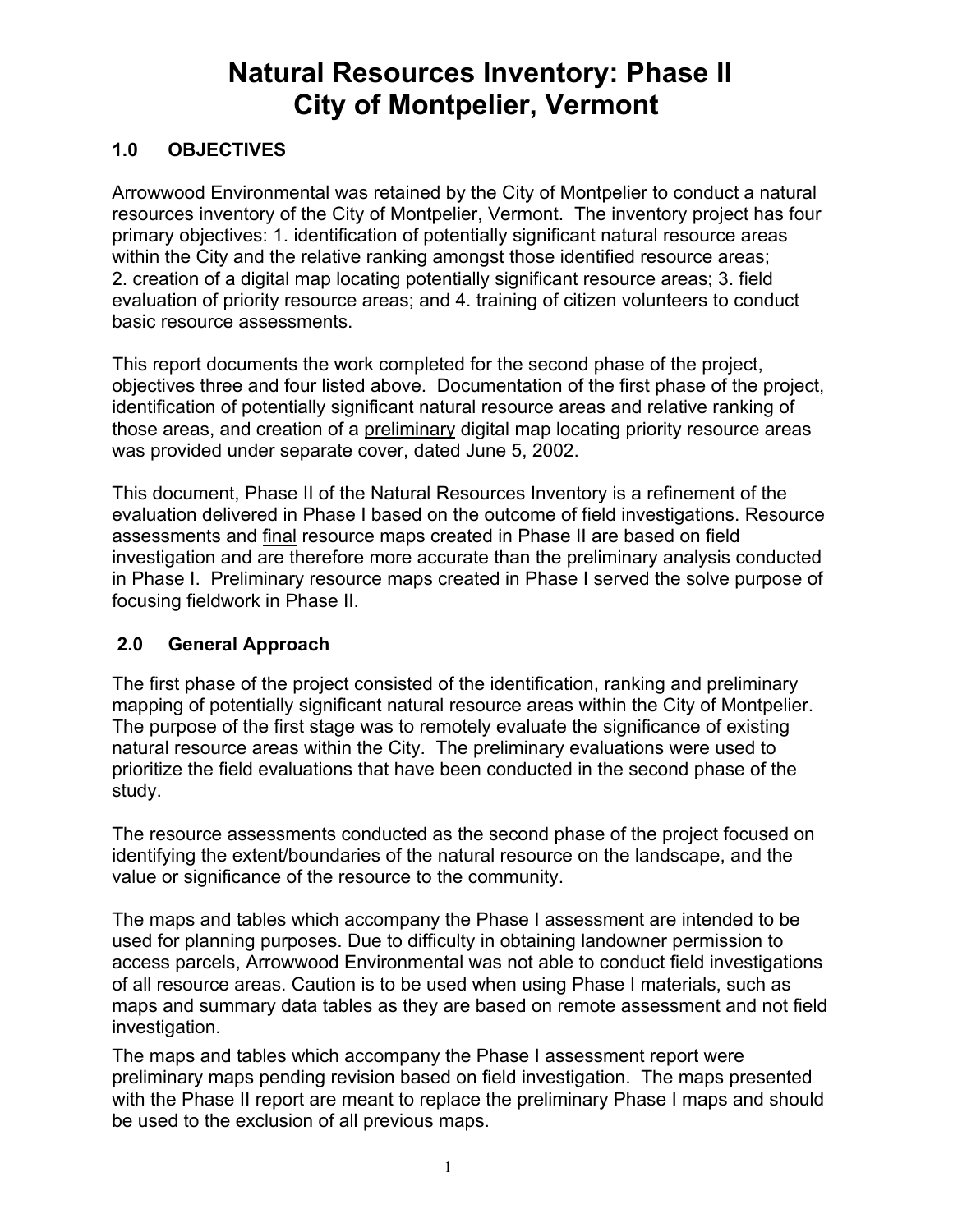## **Natural Resources Inventory: Phase II City of Montpelier, Vermont**

#### **1.0 OBJECTIVES**

Arrowwood Environmental was retained by the City of Montpelier to conduct a natural resources inventory of the City of Montpelier, Vermont. The inventory project has four primary objectives: 1. identification of potentially significant natural resource areas within the City and the relative ranking amongst those identified resource areas; 2. creation of a digital map locating potentially significant resource areas; 3. field evaluation of priority resource areas; and 4. training of citizen volunteers to conduct basic resource assessments.

This report documents the work completed for the second phase of the project, objectives three and four listed above. Documentation of the first phase of the project, identification of potentially significant natural resource areas and relative ranking of those areas, and creation of a preliminary digital map locating priority resource areas was provided under separate cover, dated June 5, 2002.

This document, Phase II of the Natural Resources Inventory is a refinement of the evaluation delivered in Phase I based on the outcome of field investigations. Resource assessments and final resource maps created in Phase II are based on field investigation and are therefore more accurate than the preliminary analysis conducted in Phase I. Preliminary resource maps created in Phase I served the solve purpose of focusing fieldwork in Phase II.

#### **2.0 General Approach**

The first phase of the project consisted of the identification, ranking and preliminary mapping of potentially significant natural resource areas within the City of Montpelier. The purpose of the first stage was to remotely evaluate the significance of existing natural resource areas within the City. The preliminary evaluations were used to prioritize the field evaluations that have been conducted in the second phase of the study.

The resource assessments conducted as the second phase of the project focused on identifying the extent/boundaries of the natural resource on the landscape, and the value or significance of the resource to the community.

The maps and tables which accompany the Phase I assessment are intended to be used for planning purposes. Due to difficulty in obtaining landowner permission to access parcels, Arrowwood Environmental was not able to conduct field investigations of all resource areas. Caution is to be used when using Phase I materials, such as maps and summary data tables as they are based on remote assessment and not field investigation.

The maps and tables which accompany the Phase I assessment report were preliminary maps pending revision based on field investigation. The maps presented with the Phase II report are meant to replace the preliminary Phase I maps and should be used to the exclusion of all previous maps.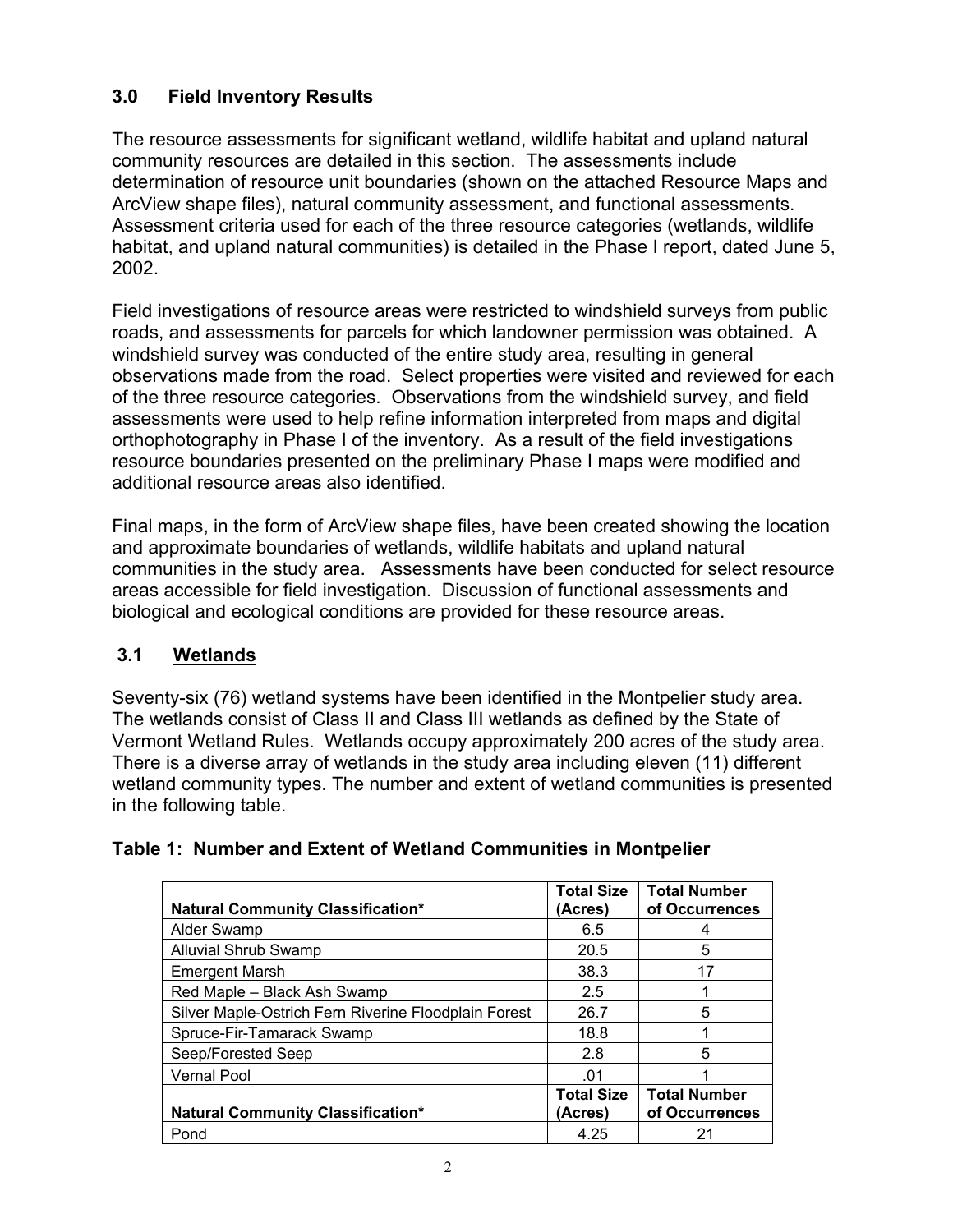#### **3.0 Field Inventory Results**

The resource assessments for significant wetland, wildlife habitat and upland natural community resources are detailed in this section. The assessments include determination of resource unit boundaries (shown on the attached Resource Maps and ArcView shape files), natural community assessment, and functional assessments. Assessment criteria used for each of the three resource categories (wetlands, wildlife habitat, and upland natural communities) is detailed in the Phase I report, dated June 5, 2002.

Field investigations of resource areas were restricted to windshield surveys from public roads, and assessments for parcels for which landowner permission was obtained. A windshield survey was conducted of the entire study area, resulting in general observations made from the road. Select properties were visited and reviewed for each of the three resource categories. Observations from the windshield survey, and field assessments were used to help refine information interpreted from maps and digital orthophotography in Phase I of the inventory. As a result of the field investigations resource boundaries presented on the preliminary Phase I maps were modified and additional resource areas also identified.

Final maps, in the form of ArcView shape files, have been created showing the location and approximate boundaries of wetlands, wildlife habitats and upland natural communities in the study area. Assessments have been conducted for select resource areas accessible for field investigation. Discussion of functional assessments and biological and ecological conditions are provided for these resource areas.

#### **3.1 Wetlands**

Seventy-six (76) wetland systems have been identified in the Montpelier study area. The wetlands consist of Class II and Class III wetlands as defined by the State of Vermont Wetland Rules. Wetlands occupy approximately 200 acres of the study area. There is a diverse array of wetlands in the study area including eleven (11) different wetland community types. The number and extent of wetland communities is presented in the following table.

|                                                      | <b>Total Size</b> | <b>Total Number</b> |
|------------------------------------------------------|-------------------|---------------------|
| <b>Natural Community Classification*</b>             | (Acres)           | of Occurrences      |
| Alder Swamp                                          | 6.5               | 4                   |
| <b>Alluvial Shrub Swamp</b>                          | 20.5              | 5                   |
| <b>Emergent Marsh</b>                                | 38.3              | 17                  |
| Red Maple - Black Ash Swamp                          | 2.5               |                     |
| Silver Maple-Ostrich Fern Riverine Floodplain Forest | 26.7              | 5                   |
| Spruce-Fir-Tamarack Swamp                            | 18.8              |                     |
| Seep/Forested Seep                                   | 2.8               | 5                   |
| <b>Vernal Pool</b>                                   | .01               |                     |
|                                                      | <b>Total Size</b> | <b>Total Number</b> |
| <b>Natural Community Classification*</b>             | (Acres)           | of Occurrences      |
| Pond                                                 | 4.25              | 21                  |

#### **Table 1: Number and Extent of Wetland Communities in Montpelier**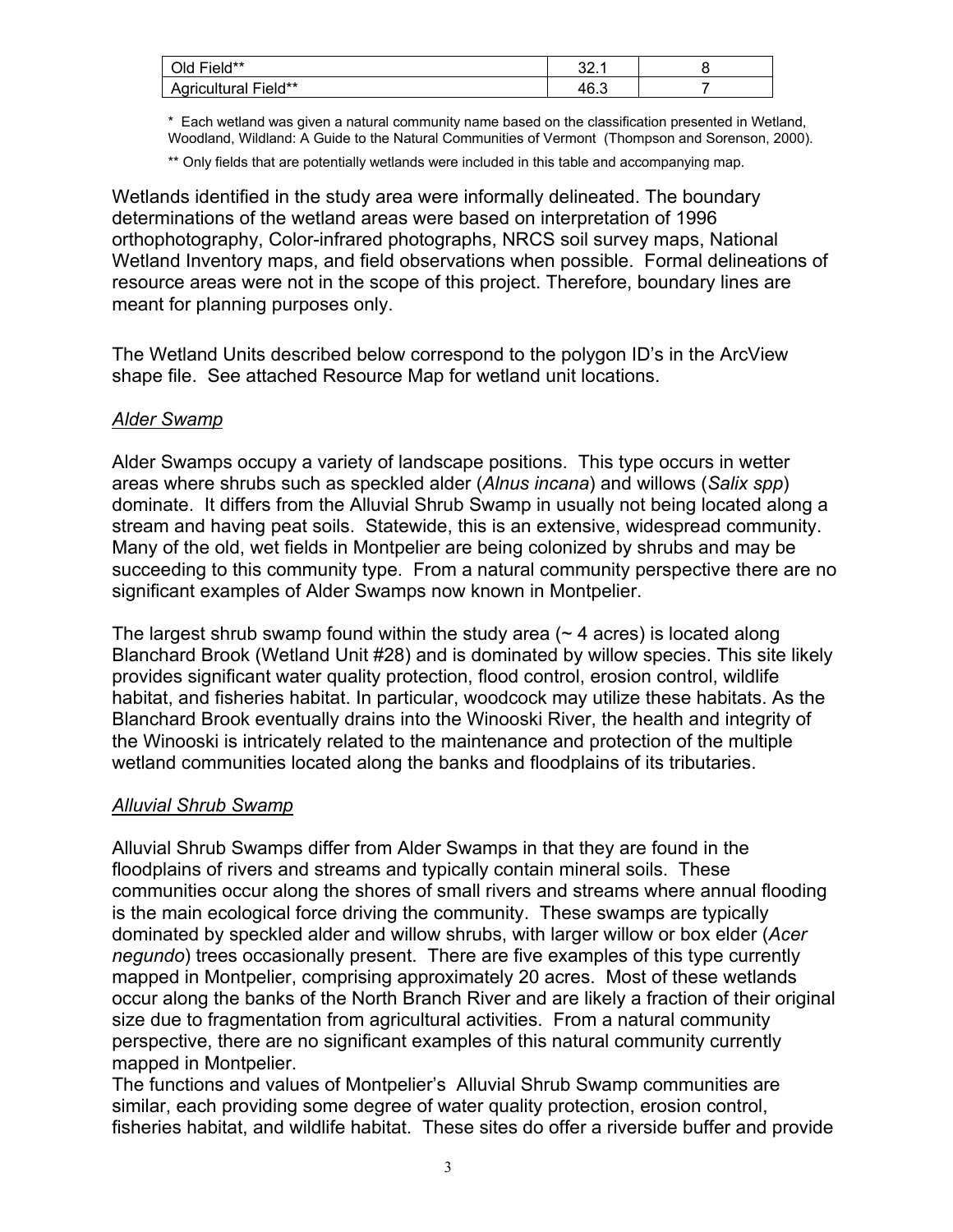| u Field**<br>Old     | ົ<br>. . ک ب |  |
|----------------------|--------------|--|
| Agricultural Field** | 46.3         |  |

\* Each wetland was given a natural community name based on the classification presented in Wetland, Woodland, Wildland: A Guide to the Natural Communities of Vermont (Thompson and Sorenson, 2000).

\*\* Only fields that are potentially wetlands were included in this table and accompanying map.

Wetlands identified in the study area were informally delineated. The boundary determinations of the wetland areas were based on interpretation of 1996 orthophotography, Color-infrared photographs, NRCS soil survey maps, National Wetland Inventory maps, and field observations when possible. Formal delineations of resource areas were not in the scope of this project. Therefore, boundary lines are meant for planning purposes only.

The Wetland Units described below correspond to the polygon ID's in the ArcView shape file. See attached Resource Map for wetland unit locations.

#### *Alder Swamp*

Alder Swamps occupy a variety of landscape positions. This type occurs in wetter areas where shrubs such as speckled alder (*Alnus incana*) and willows (*Salix spp*) dominate. It differs from the Alluvial Shrub Swamp in usually not being located along a stream and having peat soils. Statewide, this is an extensive, widespread community. Many of the old, wet fields in Montpelier are being colonized by shrubs and may be succeeding to this community type. From a natural community perspective there are no significant examples of Alder Swamps now known in Montpelier.

The largest shrub swamp found within the study area  $($   $\sim$  4 acres) is located along Blanchard Brook (Wetland Unit #28) and is dominated by willow species. This site likely provides significant water quality protection, flood control, erosion control, wildlife habitat, and fisheries habitat. In particular, woodcock may utilize these habitats. As the Blanchard Brook eventually drains into the Winooski River, the health and integrity of the Winooski is intricately related to the maintenance and protection of the multiple wetland communities located along the banks and floodplains of its tributaries.

#### *Alluvial Shrub Swamp*

Alluvial Shrub Swamps differ from Alder Swamps in that they are found in the floodplains of rivers and streams and typically contain mineral soils.These communities occur along the shores of small rivers and streams where annual flooding is the main ecological force driving the community. These swamps are typically dominated by speckled alder and willow shrubs, with larger willow or box elder (*Acer negundo*) trees occasionally present. There are five examples of this type currently mapped in Montpelier, comprising approximately 20 acres. Most of these wetlands occur along the banks of the North Branch River and are likely a fraction of their original size due to fragmentation from agricultural activities. From a natural community perspective, there are no significant examples of this natural community currently mapped in Montpelier.

The functions and values of Montpelier's Alluvial Shrub Swamp communities are similar, each providing some degree of water quality protection, erosion control, fisheries habitat, and wildlife habitat. These sites do offer a riverside buffer and provide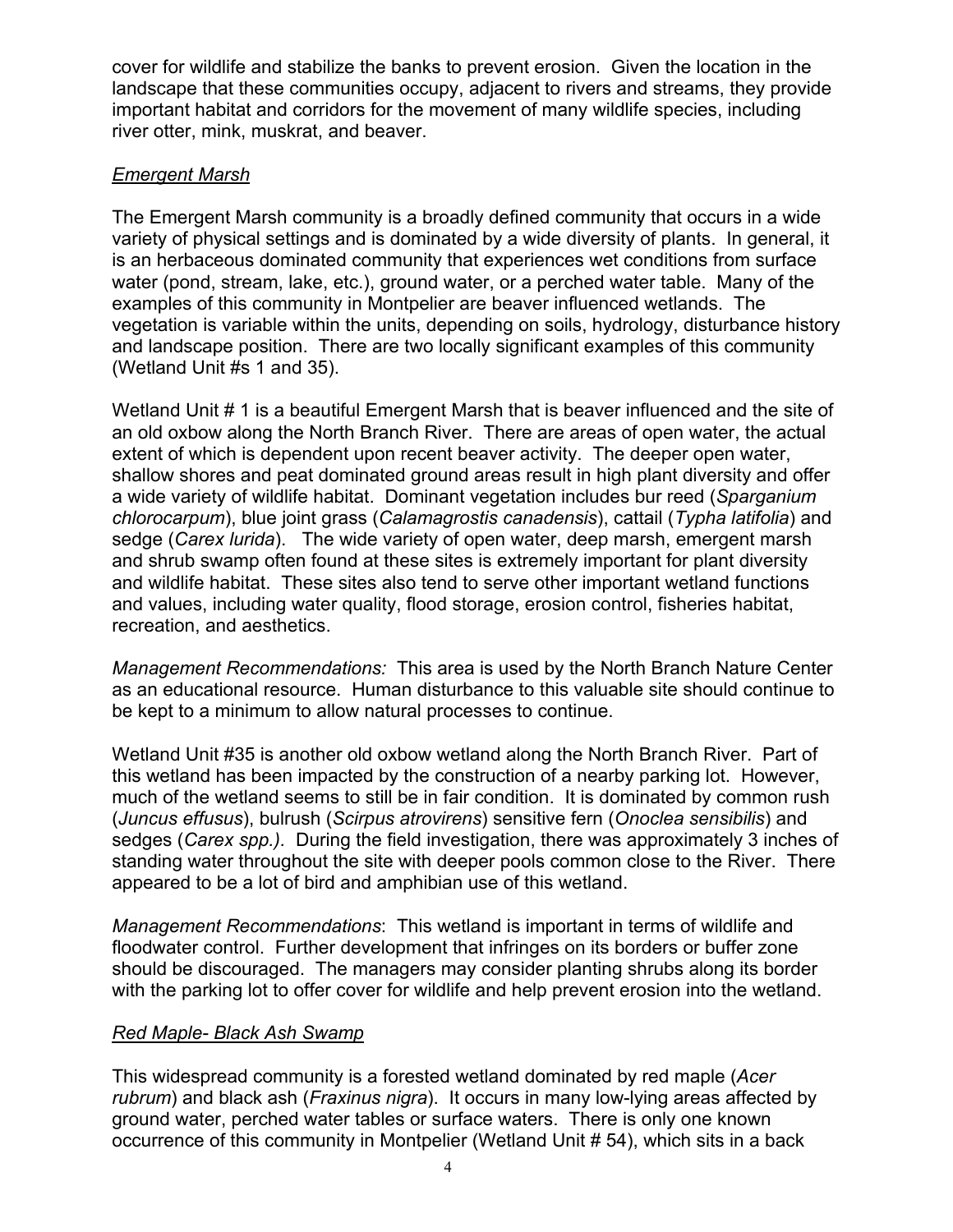cover for wildlife and stabilize the banks to prevent erosion. Given the location in the landscape that these communities occupy, adjacent to rivers and streams, they provide important habitat and corridors for the movement of many wildlife species, including river otter, mink, muskrat, and beaver.

#### *Emergent Marsh*

The Emergent Marsh community is a broadly defined community that occurs in a wide variety of physical settings and is dominated by a wide diversity of plants. In general, it is an herbaceous dominated community that experiences wet conditions from surface water (pond, stream, lake, etc.), ground water, or a perched water table. Many of the examples of this community in Montpelier are beaver influenced wetlands. The vegetation is variable within the units, depending on soils, hydrology, disturbance history and landscape position. There are two locally significant examples of this community (Wetland Unit #s 1 and 35).

Wetland Unit # 1 is a beautiful Emergent Marsh that is beaver influenced and the site of an old oxbow along the North Branch River. There are areas of open water, the actual extent of which is dependent upon recent beaver activity. The deeper open water, shallow shores and peat dominated ground areas result in high plant diversity and offer a wide variety of wildlife habitat. Dominant vegetation includes bur reed (*Sparganium chlorocarpum*), blue joint grass (*Calamagrostis canadensis*), cattail (*Typha latifolia*) and sedge (*Carex lurida*). The wide variety of open water, deep marsh, emergent marsh and shrub swamp often found at these sites is extremely important for plant diversity and wildlife habitat. These sites also tend to serve other important wetland functions and values, including water quality, flood storage, erosion control, fisheries habitat, recreation, and aesthetics.

*Management Recommendations:* This area is used by the North Branch Nature Center as an educational resource. Human disturbance to this valuable site should continue to be kept to a minimum to allow natural processes to continue.

Wetland Unit #35 is another old oxbow wetland along the North Branch River. Part of this wetland has been impacted by the construction of a nearby parking lot. However, much of the wetland seems to still be in fair condition. It is dominated by common rush (*Juncus effusus*), bulrush (*Scirpus atrovirens*) sensitive fern (*Onoclea sensibilis*) and sedges (*Carex spp.).* During the field investigation, there was approximately 3 inches of standing water throughout the site with deeper pools common close to the River. There appeared to be a lot of bird and amphibian use of this wetland.

*Management Recommendations*: This wetland is important in terms of wildlife and floodwater control. Further development that infringes on its borders or buffer zone should be discouraged. The managers may consider planting shrubs along its border with the parking lot to offer cover for wildlife and help prevent erosion into the wetland.

#### *Red Maple- Black Ash Swamp*

This widespread community is a forested wetland dominated by red maple (*Acer rubrum*) and black ash (*Fraxinus nigra*). It occurs in many low-lying areas affected by ground water, perched water tables or surface waters. There is only one known occurrence of this community in Montpelier (Wetland Unit # 54), which sits in a back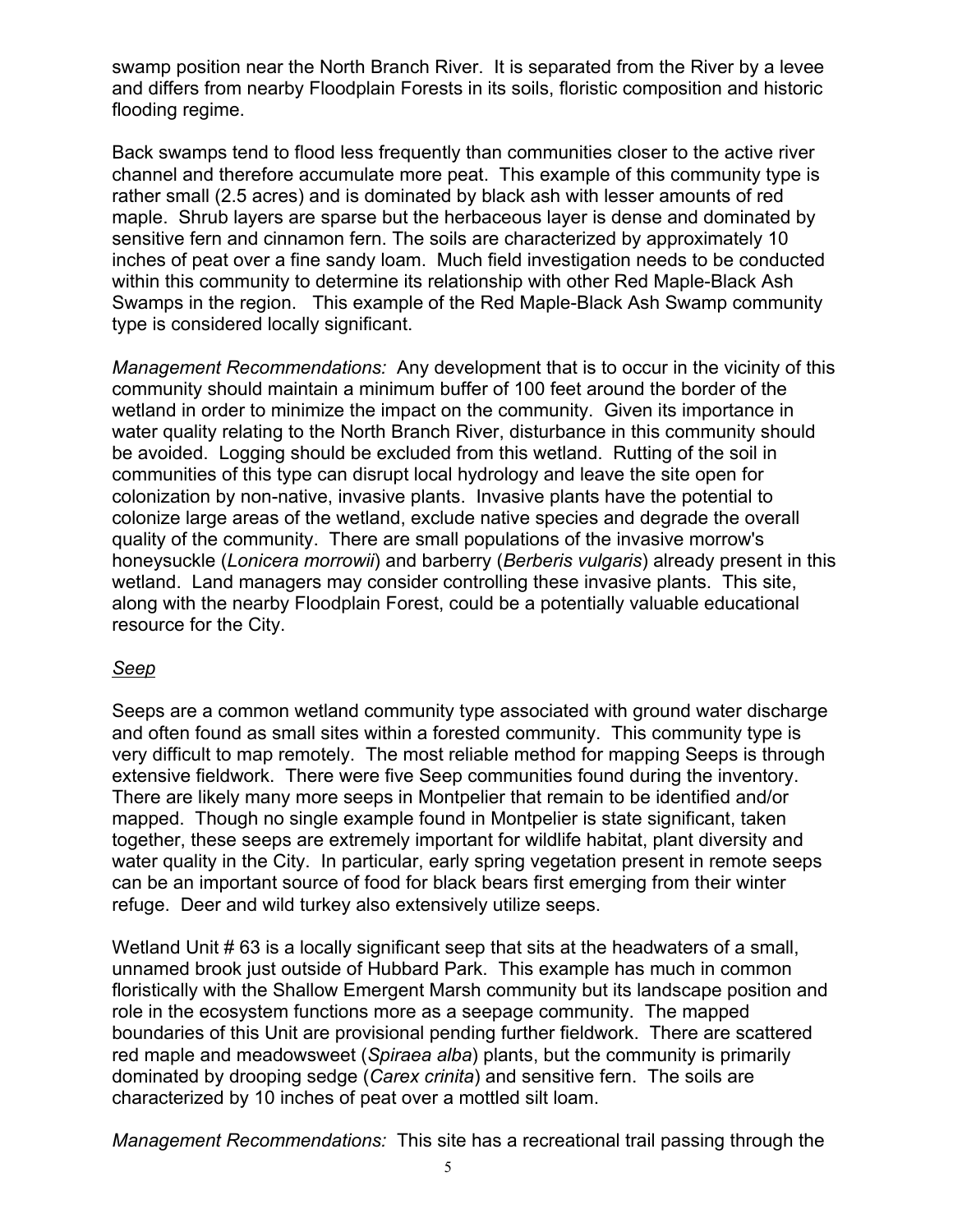swamp position near the North Branch River. It is separated from the River by a levee and differs from nearby Floodplain Forests in its soils, floristic composition and historic flooding regime.

Back swamps tend to flood less frequently than communities closer to the active river channel and therefore accumulate more peat. This example of this community type is rather small (2.5 acres) and is dominated by black ash with lesser amounts of red maple. Shrub layers are sparse but the herbaceous layer is dense and dominated by sensitive fern and cinnamon fern. The soils are characterized by approximately 10 inches of peat over a fine sandy loam. Much field investigation needs to be conducted within this community to determine its relationship with other Red Maple-Black Ash Swamps in the region. This example of the Red Maple-Black Ash Swamp community type is considered locally significant.

*Management Recommendations:* Any development that is to occur in the vicinity of this community should maintain a minimum buffer of 100 feet around the border of the wetland in order to minimize the impact on the community. Given its importance in water quality relating to the North Branch River, disturbance in this community should be avoided. Logging should be excluded from this wetland. Rutting of the soil in communities of this type can disrupt local hydrology and leave the site open for colonization by non-native, invasive plants. Invasive plants have the potential to colonize large areas of the wetland, exclude native species and degrade the overall quality of the community. There are small populations of the invasive morrow's honeysuckle (*Lonicera morrowii*) and barberry (*Berberis vulgaris*) already present in this wetland. Land managers may consider controlling these invasive plants. This site, along with the nearby Floodplain Forest, could be a potentially valuable educational resource for the City.

#### *Seep*

Seeps are a common wetland community type associated with ground water discharge and often found as small sites within a forested community. This community type is very difficult to map remotely. The most reliable method for mapping Seeps is through extensive fieldwork. There were five Seep communities found during the inventory. There are likely many more seeps in Montpelier that remain to be identified and/or mapped. Though no single example found in Montpelier is state significant, taken together, these seeps are extremely important for wildlife habitat, plant diversity and water quality in the City. In particular, early spring vegetation present in remote seeps can be an important source of food for black bears first emerging from their winter refuge. Deer and wild turkey also extensively utilize seeps.

Wetland Unit # 63 is a locally significant seep that sits at the headwaters of a small, unnamed brook just outside of Hubbard Park. This example has much in common floristically with the Shallow Emergent Marsh community but its landscape position and role in the ecosystem functions more as a seepage community. The mapped boundaries of this Unit are provisional pending further fieldwork. There are scattered red maple and meadowsweet (*Spiraea alba*) plants, but the community is primarily dominated by drooping sedge (*Carex crinita*) and sensitive fern.The soils are characterized by 10 inches of peat over a mottled silt loam.

*Management Recommendations:* This site has a recreational trail passing through the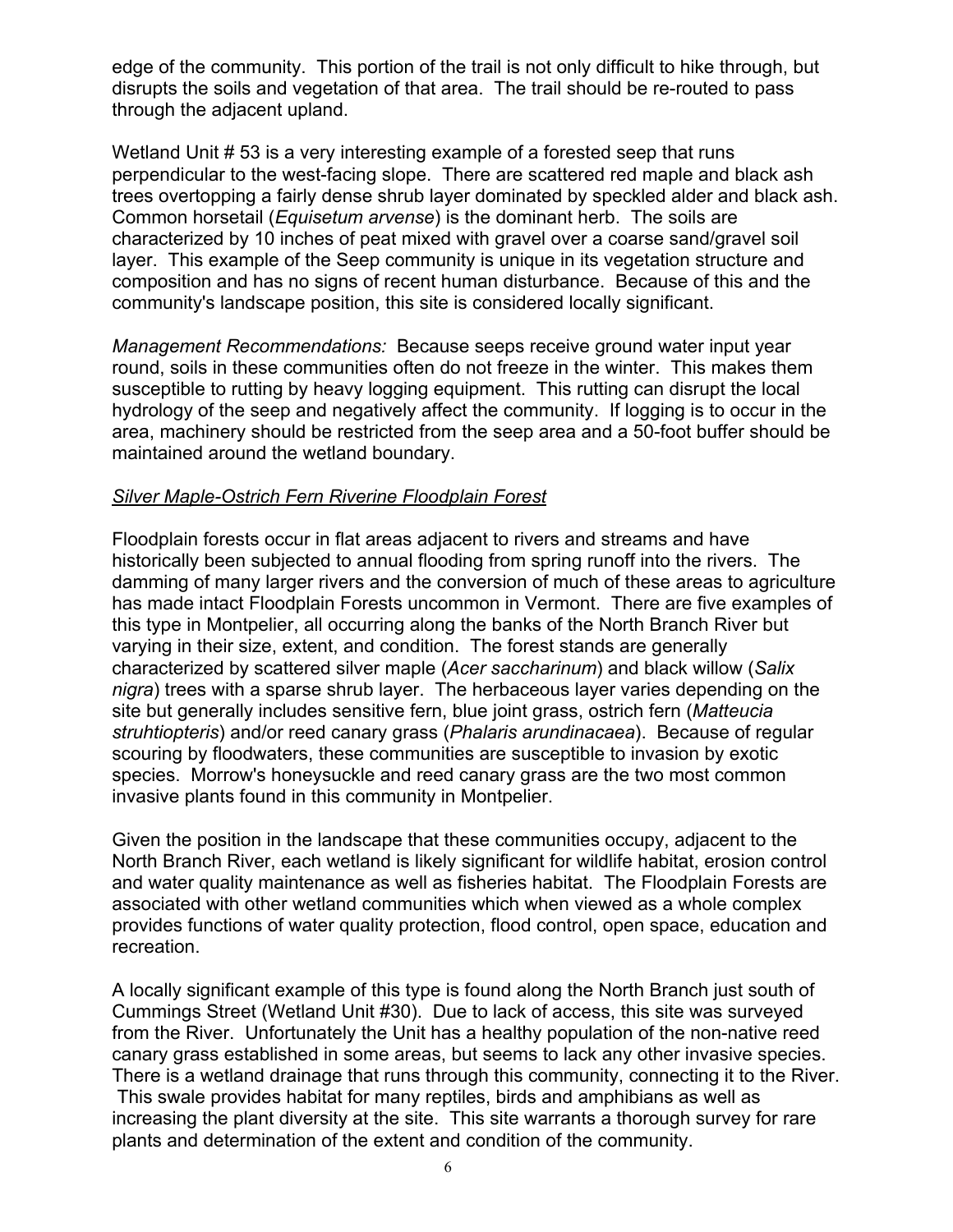edge of the community. This portion of the trail is not only difficult to hike through, but disrupts the soils and vegetation of that area. The trail should be re-routed to pass through the adjacent upland.

Wetland Unit # 53 is a very interesting example of a forested seep that runs perpendicular to the west-facing slope. There are scattered red maple and black ash trees overtopping a fairly dense shrub layer dominated by speckled alder and black ash. Common horsetail (*Equisetum arvense*) is the dominant herb. The soils are characterized by 10 inches of peat mixed with gravel over a coarse sand/gravel soil layer. This example of the Seep community is unique in its vegetation structure and composition and has no signs of recent human disturbance. Because of this and the community's landscape position, this site is considered locally significant.

*Management Recommendations:* Because seeps receive ground water input year round, soils in these communities often do not freeze in the winter. This makes them susceptible to rutting by heavy logging equipment. This rutting can disrupt the local hydrology of the seep and negatively affect the community. If logging is to occur in the area, machinery should be restricted from the seep area and a 50-foot buffer should be maintained around the wetland boundary.

#### *Silver Maple-Ostrich Fern Riverine Floodplain Forest*

Floodplain forests occur in flat areas adjacent to rivers and streams and have historically been subjected to annual flooding from spring runoff into the rivers. The damming of many larger rivers and the conversion of much of these areas to agriculture has made intact Floodplain Forests uncommon in Vermont. There are five examples of this type in Montpelier, all occurring along the banks of the North Branch River but varying in their size, extent, and condition. The forest stands are generally characterized by scattered silver maple (*Acer saccharinum*) and black willow (*Salix nigra*) trees with a sparse shrub layer. The herbaceous layer varies depending on the site but generally includes sensitive fern, blue joint grass, ostrich fern (*Matteucia struhtiopteris*) and/or reed canary grass (*Phalaris arundinacaea*). Because of regular scouring by floodwaters, these communities are susceptible to invasion by exotic species. Morrow's honeysuckle and reed canary grass are the two most common invasive plants found in this community in Montpelier.

Given the position in the landscape that these communities occupy, adjacent to the North Branch River, each wetland is likely significant for wildlife habitat, erosion control and water quality maintenance as well as fisheries habitat. The Floodplain Forests are associated with other wetland communities which when viewed as a whole complex provides functions of water quality protection, flood control, open space, education and recreation.

A locally significant example of this type is found along the North Branch just south of Cummings Street (Wetland Unit #30). Due to lack of access, this site was surveyed from the River. Unfortunately the Unit has a healthy population of the non-native reed canary grass established in some areas, but seems to lack any other invasive species. There is a wetland drainage that runs through this community, connecting it to the River. This swale provides habitat for many reptiles, birds and amphibians as well as increasing the plant diversity at the site. This site warrants a thorough survey for rare plants and determination of the extent and condition of the community.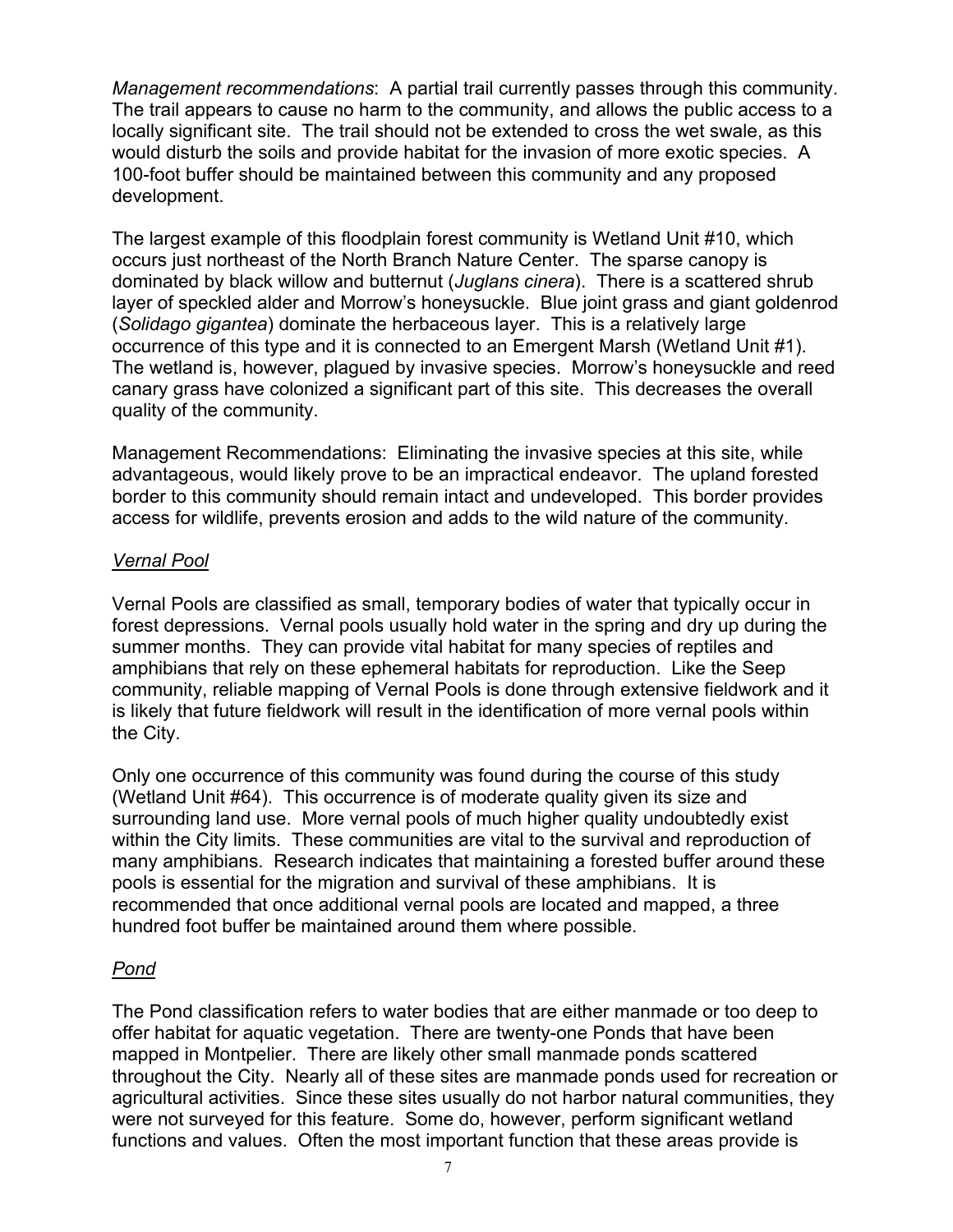*Management recommendations*: A partial trail currently passes through this community. The trail appears to cause no harm to the community, and allows the public access to a locally significant site. The trail should not be extended to cross the wet swale, as this would disturb the soils and provide habitat for the invasion of more exotic species. A 100-foot buffer should be maintained between this community and any proposed development.

The largest example of this floodplain forest community is Wetland Unit #10, which occurs just northeast of the North Branch Nature Center. The sparse canopy is dominated by black willow and butternut (*Juglans cinera*). There is a scattered shrub layer of speckled alder and Morrow's honeysuckle. Blue joint grass and giant goldenrod (*Solidago gigantea*) dominate the herbaceous layer. This is a relatively large occurrence of this type and it is connected to an Emergent Marsh (Wetland Unit #1). The wetland is, however, plagued by invasive species. Morrow's honeysuckle and reed canary grass have colonized a significant part of this site. This decreases the overall quality of the community.

Management Recommendations: Eliminating the invasive species at this site, while advantageous, would likely prove to be an impractical endeavor. The upland forested border to this community should remain intact and undeveloped. This border provides access for wildlife, prevents erosion and adds to the wild nature of the community.

#### *Vernal Pool*

Vernal Pools are classified as small, temporary bodies of water that typically occur in forest depressions. Vernal pools usually hold water in the spring and dry up during the summer months. They can provide vital habitat for many species of reptiles and amphibians that rely on these ephemeral habitats for reproduction. Like the Seep community, reliable mapping of Vernal Pools is done through extensive fieldwork and it is likely that future fieldwork will result in the identification of more vernal pools within the City.

Only one occurrence of this community was found during the course of this study (Wetland Unit #64). This occurrence is of moderate quality given its size and surrounding land use. More vernal pools of much higher quality undoubtedly exist within the City limits. These communities are vital to the survival and reproduction of many amphibians. Research indicates that maintaining a forested buffer around these pools is essential for the migration and survival of these amphibians. It is recommended that once additional vernal pools are located and mapped, a three hundred foot buffer be maintained around them where possible.

#### *Pond*

The Pond classification refers to water bodies that are either manmade or too deep to offer habitat for aquatic vegetation. There are twenty-one Ponds that have been mapped in Montpelier. There are likely other small manmade ponds scattered throughout the City. Nearly all of these sites are manmade ponds used for recreation or agricultural activities. Since these sites usually do not harbor natural communities, they were not surveyed for this feature. Some do, however, perform significant wetland functions and values. Often the most important function that these areas provide is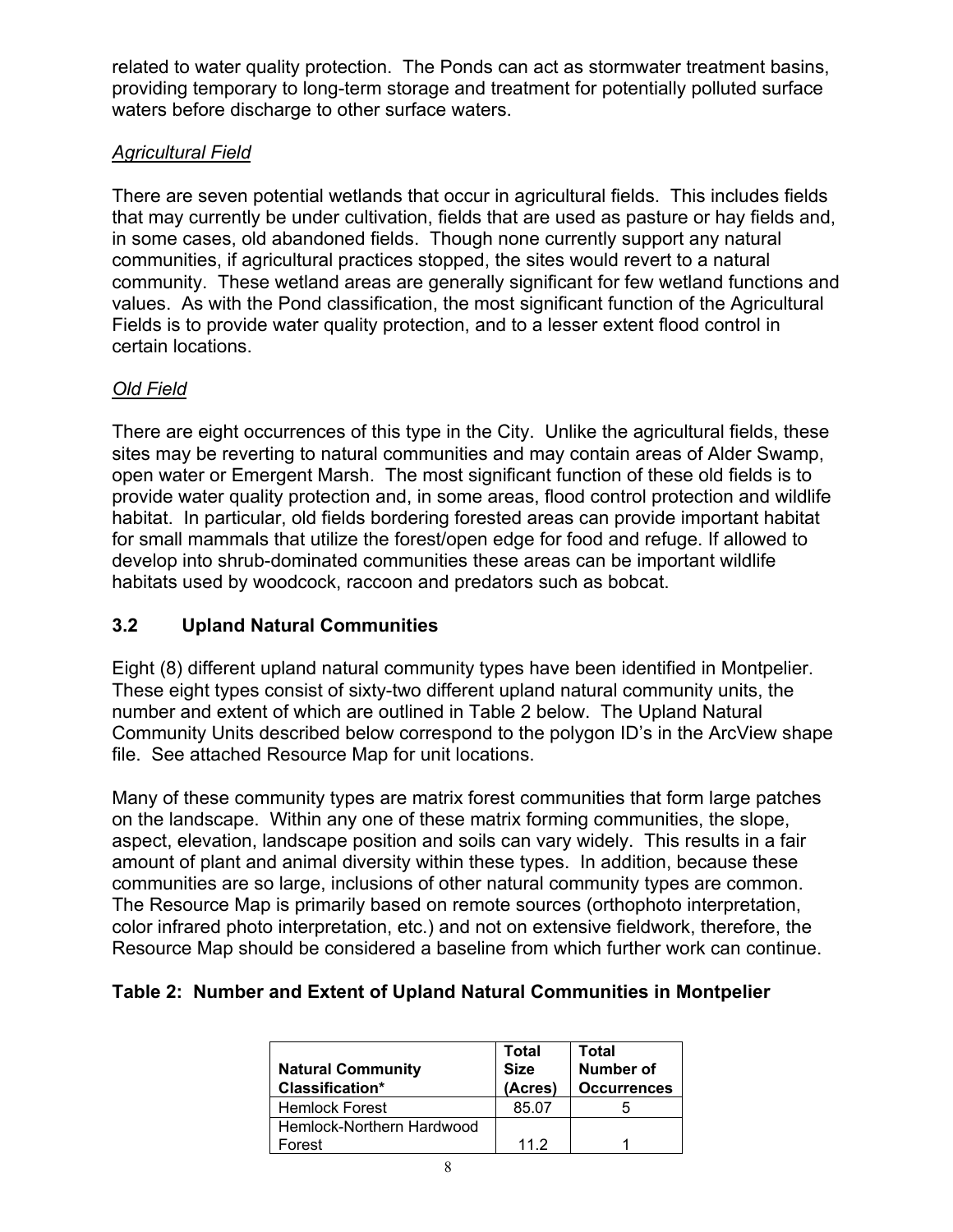related to water quality protection. The Ponds can act as stormwater treatment basins, providing temporary to long-term storage and treatment for potentially polluted surface waters before discharge to other surface waters.

#### *Agricultural Field*

There are seven potential wetlands that occur in agricultural fields. This includes fields that may currently be under cultivation, fields that are used as pasture or hay fields and, in some cases, old abandoned fields. Though none currently support any natural communities, if agricultural practices stopped, the sites would revert to a natural community. These wetland areas are generally significant for few wetland functions and values. As with the Pond classification, the most significant function of the Agricultural Fields is to provide water quality protection, and to a lesser extent flood control in certain locations.

#### *Old Field*

There are eight occurrences of this type in the City. Unlike the agricultural fields, these sites may be reverting to natural communities and may contain areas of Alder Swamp, open water or Emergent Marsh. The most significant function of these old fields is to provide water quality protection and, in some areas, flood control protection and wildlife habitat. In particular, old fields bordering forested areas can provide important habitat for small mammals that utilize the forest/open edge for food and refuge. If allowed to develop into shrub-dominated communities these areas can be important wildlife habitats used by woodcock, raccoon and predators such as bobcat.

#### **3.2 Upland Natural Communities**

Eight (8) different upland natural community types have been identified in Montpelier. These eight types consist of sixty-two different upland natural community units, the number and extent of which are outlined in Table 2 below. The Upland Natural Community Units described below correspond to the polygon ID's in the ArcView shape file. See attached Resource Map for unit locations.

Many of these community types are matrix forest communities that form large patches on the landscape. Within any one of these matrix forming communities, the slope, aspect, elevation, landscape position and soils can vary widely. This results in a fair amount of plant and animal diversity within these types. In addition, because these communities are so large, inclusions of other natural community types are common. The Resource Map is primarily based on remote sources (orthophoto interpretation, color infrared photo interpretation, etc.) and not on extensive fieldwork, therefore, the Resource Map should be considered a baseline from which further work can continue.

#### **Table 2: Number and Extent of Upland Natural Communities in Montpelier**

| <b>Natural Community</b><br>Classification* | <b>Total</b><br><b>Size</b><br>(Acres) | Total<br><b>Number of</b><br><b>Occurrences</b> |
|---------------------------------------------|----------------------------------------|-------------------------------------------------|
| <b>Hemlock Forest</b>                       | 85.07                                  |                                                 |
| Hemlock-Northern Hardwood                   |                                        |                                                 |
| Forest                                      | 112                                    |                                                 |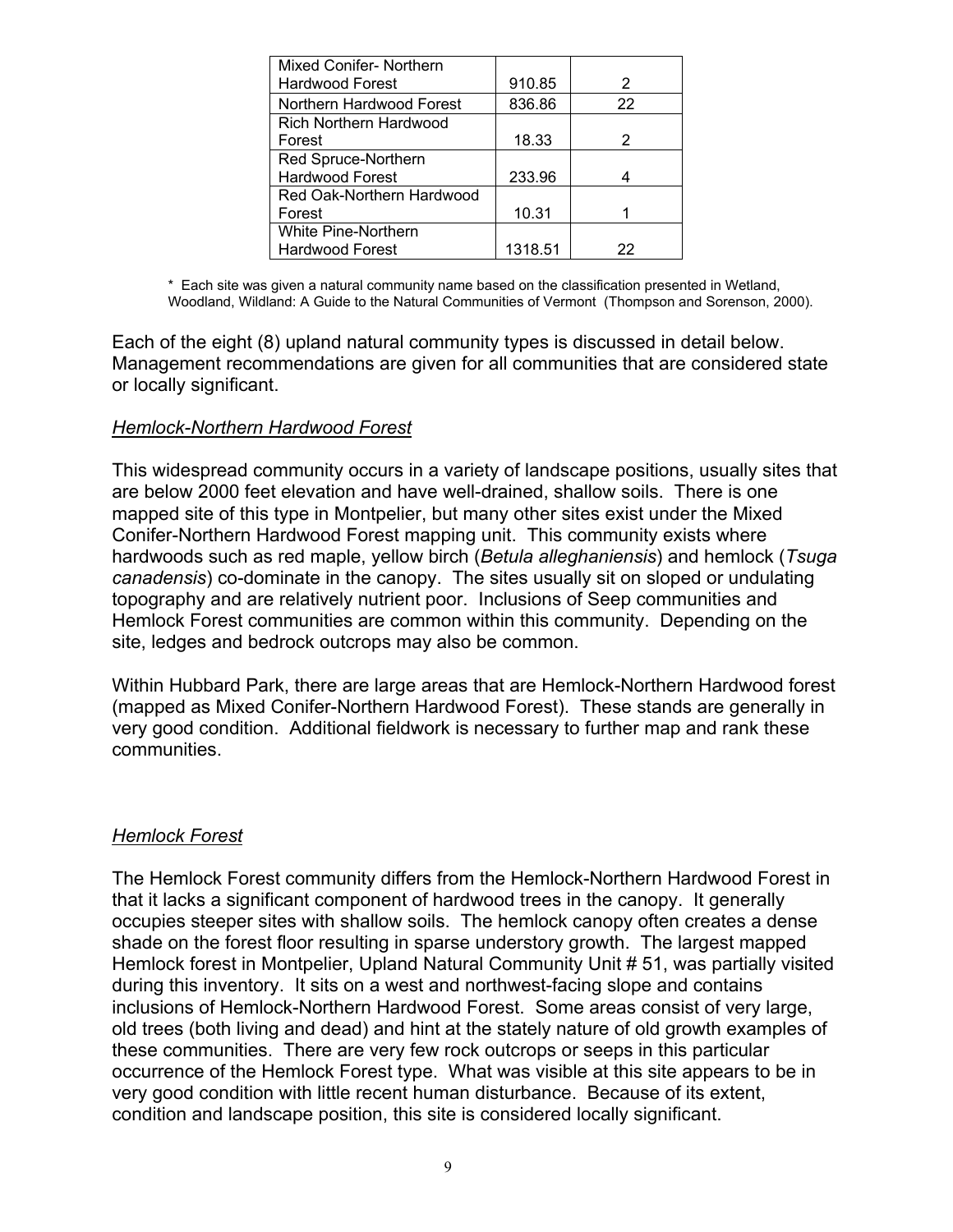| <b>Mixed Conifer-Northern</b> |         |    |
|-------------------------------|---------|----|
| <b>Hardwood Forest</b>        | 910.85  | 2  |
| Northern Hardwood Forest      | 836.86  | 22 |
| <b>Rich Northern Hardwood</b> |         |    |
| Forest                        | 18.33   | 2  |
| Red Spruce-Northern           |         |    |
| <b>Hardwood Forest</b>        | 233.96  |    |
| Red Oak-Northern Hardwood     |         |    |
| Forest                        | 10.31   |    |
| <b>White Pine-Northern</b>    |         |    |
| <b>Hardwood Forest</b>        | 1318.51 | 22 |

\* Each site was given a natural community name based on the classification presented in Wetland, Woodland, Wildland: A Guide to the Natural Communities of Vermont (Thompson and Sorenson, 2000).

Each of the eight (8) upland natural community types is discussed in detail below. Management recommendations are given for all communities that are considered state or locally significant.

#### *Hemlock-Northern Hardwood Forest*

This widespread community occurs in a variety of landscape positions, usually sites that are below 2000 feet elevation and have well-drained, shallow soils. There is one mapped site of this type in Montpelier, but many other sites exist under the Mixed Conifer-Northern Hardwood Forest mapping unit. This community exists where hardwoods such as red maple, yellow birch (*Betula alleghaniensis*) and hemlock (*Tsuga canadensis*) co-dominate in the canopy. The sites usually sit on sloped or undulating topography and are relatively nutrient poor. Inclusions of Seep communities and Hemlock Forest communities are common within this community. Depending on the site, ledges and bedrock outcrops may also be common.

Within Hubbard Park, there are large areas that are Hemlock-Northern Hardwood forest (mapped as Mixed Conifer-Northern Hardwood Forest). These stands are generally in very good condition. Additional fieldwork is necessary to further map and rank these communities.

#### *Hemlock Forest*

The Hemlock Forest community differs from the Hemlock-Northern Hardwood Forest in that it lacks a significant component of hardwood trees in the canopy. It generally occupies steeper sites with shallow soils. The hemlock canopy often creates a dense shade on the forest floor resulting in sparse understory growth. The largest mapped Hemlock forest in Montpelier, Upland Natural Community Unit # 51, was partially visited during this inventory. It sits on a west and northwest-facing slope and contains inclusions of Hemlock-Northern Hardwood Forest. Some areas consist of very large, old trees (both living and dead) and hint at the stately nature of old growth examples of these communities. There are very few rock outcrops or seeps in this particular occurrence of the Hemlock Forest type. What was visible at this site appears to be in very good condition with little recent human disturbance. Because of its extent, condition and landscape position, this site is considered locally significant.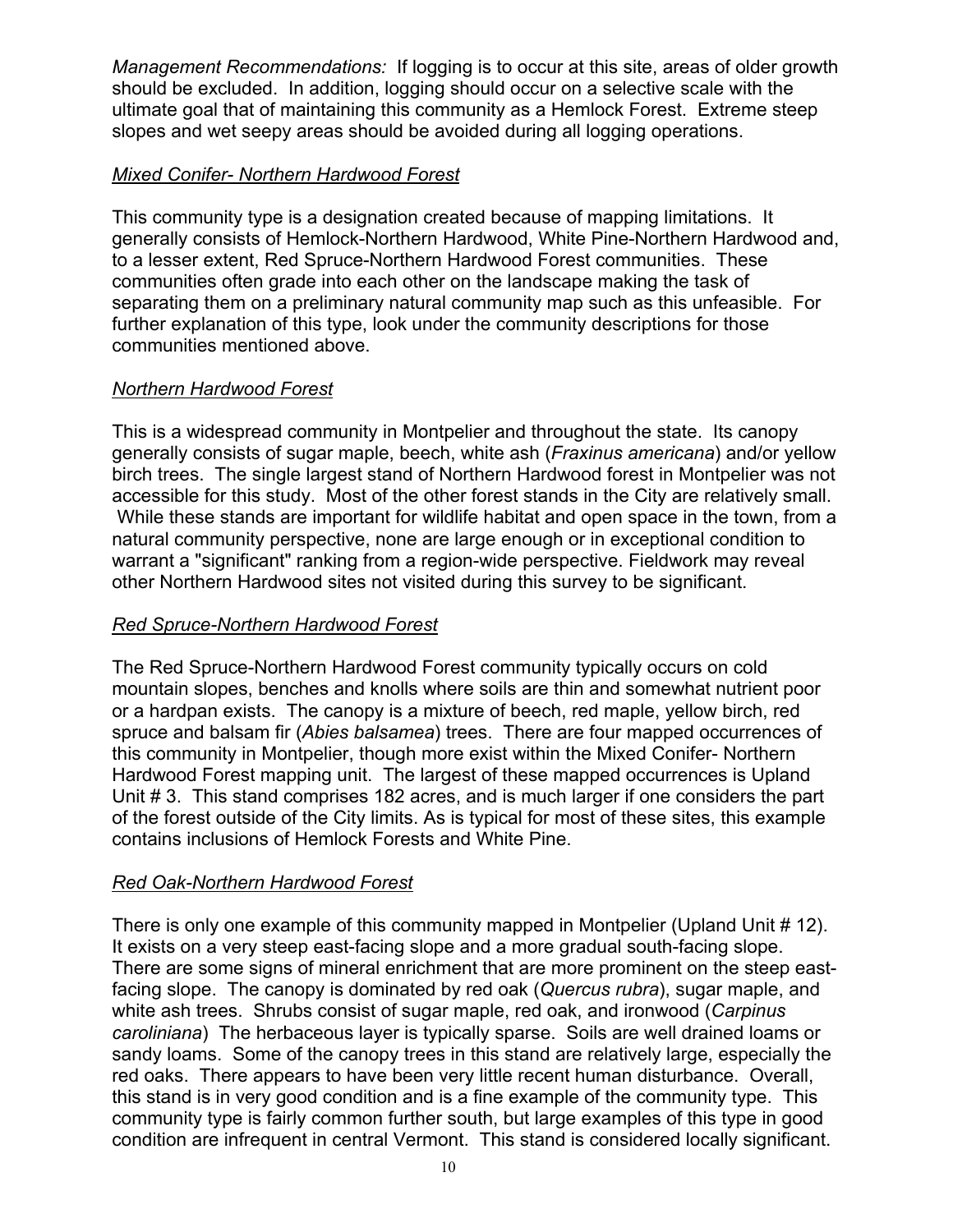*Management Recommendations:* If logging is to occur at this site, areas of older growth should be excluded. In addition, logging should occur on a selective scale with the ultimate goal that of maintaining this community as a Hemlock Forest. Extreme steep slopes and wet seepy areas should be avoided during all logging operations.

#### *Mixed Conifer- Northern Hardwood Forest*

This community type is a designation created because of mapping limitations. It generally consists of Hemlock-Northern Hardwood, White Pine-Northern Hardwood and, to a lesser extent, Red Spruce-Northern Hardwood Forest communities. These communities often grade into each other on the landscape making the task of separating them on a preliminary natural community map such as this unfeasible. For further explanation of this type, look under the community descriptions for those communities mentioned above.

#### *Northern Hardwood Forest*

This is a widespread community in Montpelier and throughout the state. Its canopy generally consists of sugar maple, beech, white ash (*Fraxinus americana*) and/or yellow birch trees. The single largest stand of Northern Hardwood forest in Montpelier was not accessible for this study. Most of the other forest stands in the City are relatively small. While these stands are important for wildlife habitat and open space in the town, from a natural community perspective, none are large enough or in exceptional condition to warrant a "significant" ranking from a region-wide perspective. Fieldwork may reveal other Northern Hardwood sites not visited during this survey to be significant.

#### *Red Spruce-Northern Hardwood Forest*

The Red Spruce-Northern Hardwood Forest community typically occurs on cold mountain slopes, benches and knolls where soils are thin and somewhat nutrient poor or a hardpan exists. The canopy is a mixture of beech, red maple, yellow birch, red spruce and balsam fir (*Abies balsamea*) trees. There are four mapped occurrences of this community in Montpelier, though more exist within the Mixed Conifer- Northern Hardwood Forest mapping unit. The largest of these mapped occurrences is Upland Unit # 3. This stand comprises 182 acres, and is much larger if one considers the part of the forest outside of the City limits. As is typical for most of these sites, this example contains inclusions of Hemlock Forests and White Pine.

#### *Red Oak-Northern Hardwood Forest*

There is only one example of this community mapped in Montpelier (Upland Unit # 12). It exists on a very steep east-facing slope and a more gradual south-facing slope. There are some signs of mineral enrichment that are more prominent on the steep eastfacing slope. The canopy is dominated by red oak (*Quercus rubra*), sugar maple, and white ash trees. Shrubs consist of sugar maple, red oak, and ironwood (*Carpinus caroliniana*) The herbaceous layer is typically sparse. Soils are well drained loams or sandy loams. Some of the canopy trees in this stand are relatively large, especially the red oaks. There appears to have been very little recent human disturbance. Overall, this stand is in very good condition and is a fine example of the community type. This community type is fairly common further south, but large examples of this type in good condition are infrequent in central Vermont. This stand is considered locally significant.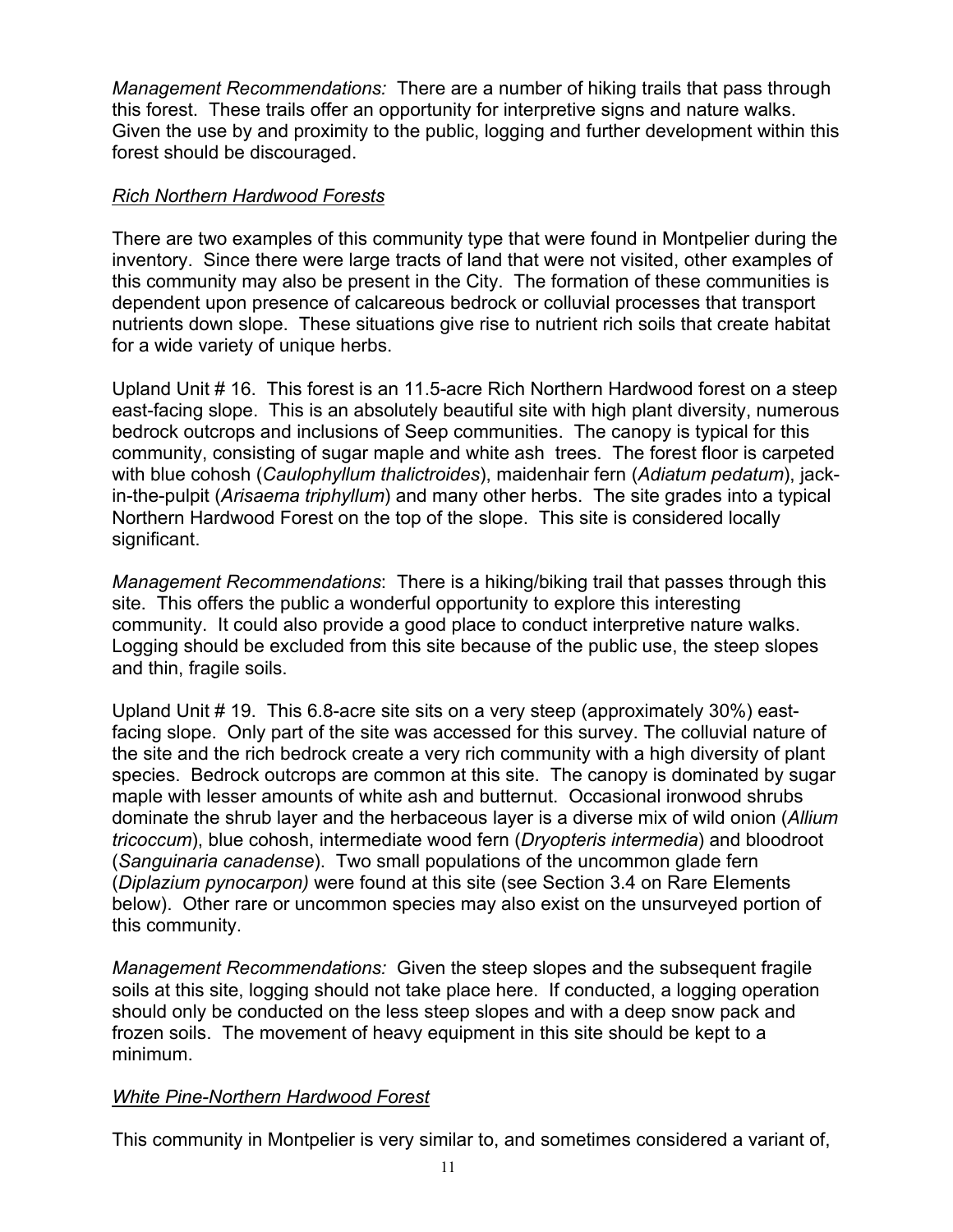*Management Recommendations:* There are a number of hiking trails that pass through this forest. These trails offer an opportunity for interpretive signs and nature walks. Given the use by and proximity to the public, logging and further development within this forest should be discouraged.

#### *Rich Northern Hardwood Forests*

There are two examples of this community type that were found in Montpelier during the inventory. Since there were large tracts of land that were not visited, other examples of this community may also be present in the City. The formation of these communities is dependent upon presence of calcareous bedrock or colluvial processes that transport nutrients down slope. These situations give rise to nutrient rich soils that create habitat for a wide variety of unique herbs.

Upland Unit # 16. This forest is an 11.5-acre Rich Northern Hardwood forest on a steep east-facing slope. This is an absolutely beautiful site with high plant diversity, numerous bedrock outcrops and inclusions of Seep communities. The canopy is typical for this community, consisting of sugar maple and white ash trees. The forest floor is carpeted with blue cohosh (*Caulophyllum thalictroides*), maidenhair fern (*Adiatum pedatum*), jackin-the-pulpit (*Arisaema triphyllum*) and many other herbs. The site grades into a typical Northern Hardwood Forest on the top of the slope. This site is considered locally significant.

*Management Recommendations*: There is a hiking/biking trail that passes through this site. This offers the public a wonderful opportunity to explore this interesting community. It could also provide a good place to conduct interpretive nature walks. Logging should be excluded from this site because of the public use, the steep slopes and thin, fragile soils.

Upland Unit # 19. This 6.8-acre site sits on a very steep (approximately 30%) eastfacing slope. Only part of the site was accessed for this survey. The colluvial nature of the site and the rich bedrock create a very rich community with a high diversity of plant species. Bedrock outcrops are common at this site. The canopy is dominated by sugar maple with lesser amounts of white ash and butternut. Occasional ironwood shrubs dominate the shrub layer and the herbaceous layer is a diverse mix of wild onion (*Allium tricoccum*), blue cohosh, intermediate wood fern (*Dryopteris intermedia*) and bloodroot (*Sanguinaria canadense*). Two small populations of the uncommon glade fern (*Diplazium pynocarpon)* were found at this site (see Section 3.4 on Rare Elements below). Other rare or uncommon species may also exist on the unsurveyed portion of this community.

*Management Recommendations:* Given the steep slopes and the subsequent fragile soils at this site, logging should not take place here. If conducted, a logging operation should only be conducted on the less steep slopes and with a deep snow pack and frozen soils. The movement of heavy equipment in this site should be kept to a minimum.

#### *White Pine-Northern Hardwood Forest*

This community in Montpelier is very similar to, and sometimes considered a variant of,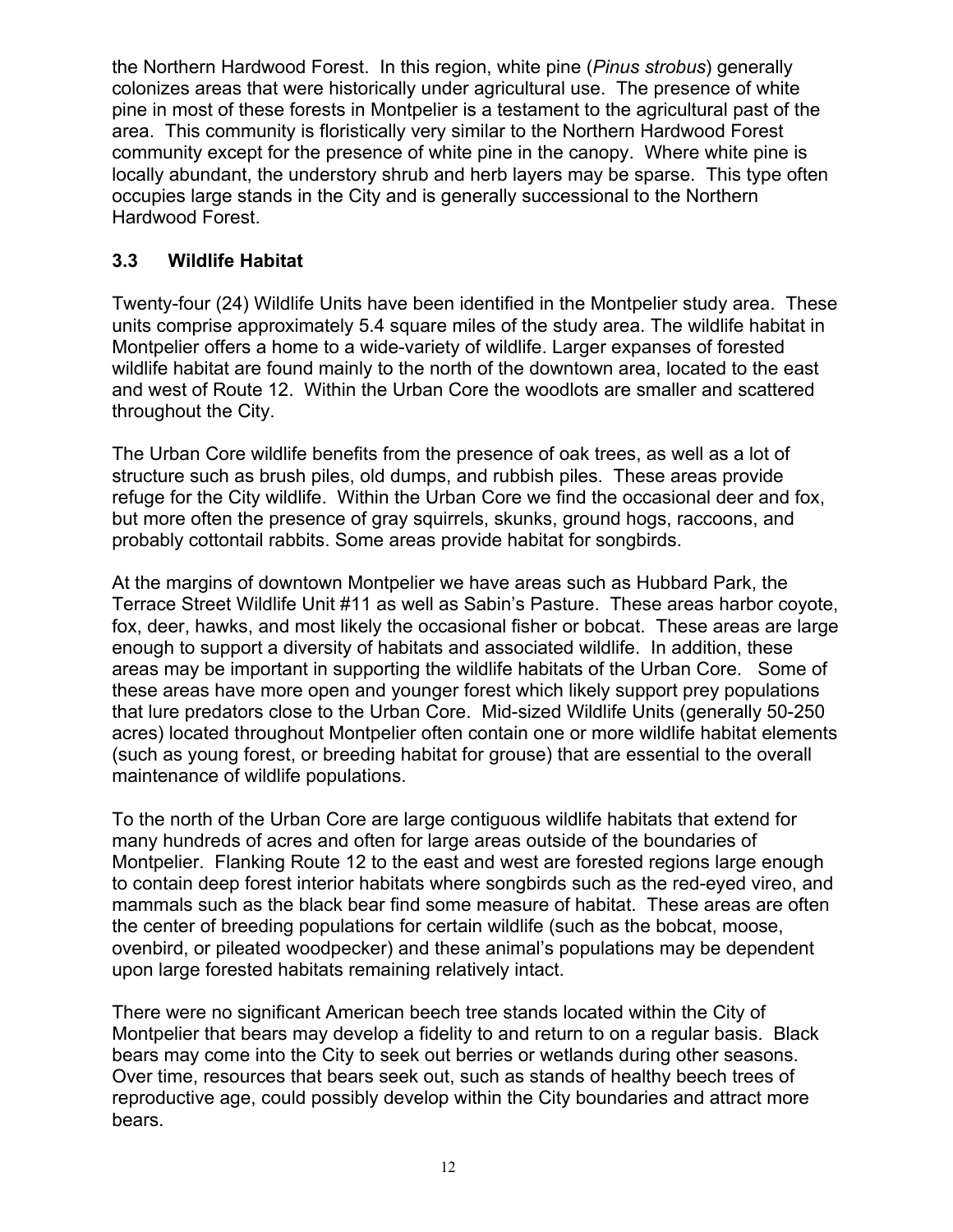the Northern Hardwood Forest. In this region, white pine (*Pinus strobus*) generally colonizes areas that were historically under agricultural use. The presence of white pine in most of these forests in Montpelier is a testament to the agricultural past of the area. This community is floristically very similar to the Northern Hardwood Forest community except for the presence of white pine in the canopy. Where white pine is locally abundant, the understory shrub and herb layers may be sparse. This type often occupies large stands in the City and is generally successional to the Northern Hardwood Forest.

#### **3.3 Wildlife Habitat**

Twenty-four (24) Wildlife Units have been identified in the Montpelier study area. These units comprise approximately 5.4 square miles of the study area. The wildlife habitat in Montpelier offers a home to a wide-variety of wildlife. Larger expanses of forested wildlife habitat are found mainly to the north of the downtown area, located to the east and west of Route 12. Within the Urban Core the woodlots are smaller and scattered throughout the City.

The Urban Core wildlife benefits from the presence of oak trees, as well as a lot of structure such as brush piles, old dumps, and rubbish piles. These areas provide refuge for the City wildlife. Within the Urban Core we find the occasional deer and fox, but more often the presence of gray squirrels, skunks, ground hogs, raccoons, and probably cottontail rabbits. Some areas provide habitat for songbirds.

At the margins of downtown Montpelier we have areas such as Hubbard Park, the Terrace Street Wildlife Unit #11 as well as Sabin's Pasture. These areas harbor coyote, fox, deer, hawks, and most likely the occasional fisher or bobcat. These areas are large enough to support a diversity of habitats and associated wildlife. In addition, these areas may be important in supporting the wildlife habitats of the Urban Core. Some of these areas have more open and younger forest which likely support prey populations that lure predators close to the Urban Core. Mid-sized Wildlife Units (generally 50-250 acres) located throughout Montpelier often contain one or more wildlife habitat elements (such as young forest, or breeding habitat for grouse) that are essential to the overall maintenance of wildlife populations.

To the north of the Urban Core are large contiguous wildlife habitats that extend for many hundreds of acres and often for large areas outside of the boundaries of Montpelier. Flanking Route 12 to the east and west are forested regions large enough to contain deep forest interior habitats where songbirds such as the red-eyed vireo, and mammals such as the black bear find some measure of habitat. These areas are often the center of breeding populations for certain wildlife (such as the bobcat, moose, ovenbird, or pileated woodpecker) and these animal's populations may be dependent upon large forested habitats remaining relatively intact.

There were no significant American beech tree stands located within the City of Montpelier that bears may develop a fidelity to and return to on a regular basis. Black bears may come into the City to seek out berries or wetlands during other seasons. Over time, resources that bears seek out, such as stands of healthy beech trees of reproductive age, could possibly develop within the City boundaries and attract more bears.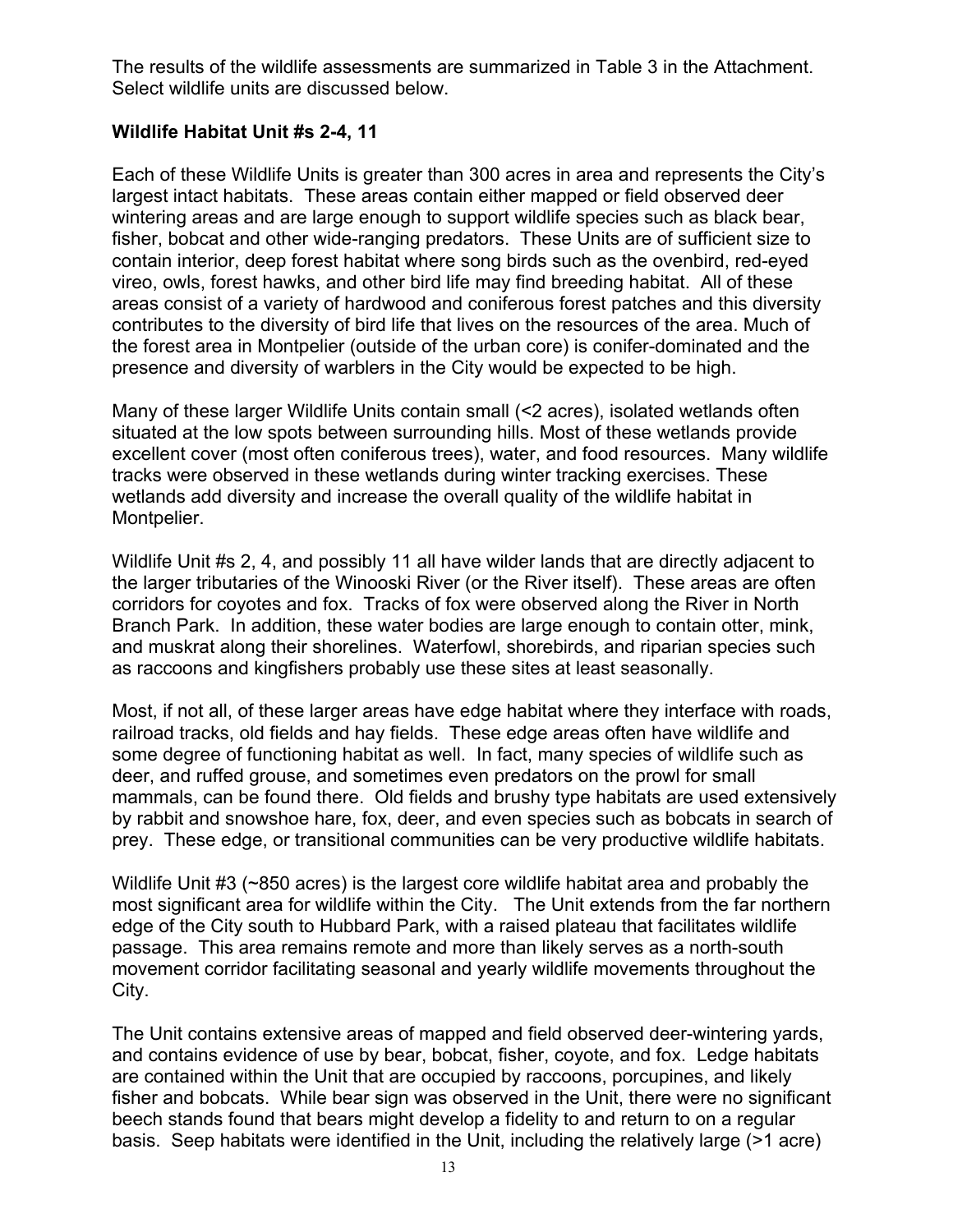The results of the wildlife assessments are summarized in Table 3 in the Attachment. Select wildlife units are discussed below.

#### **Wildlife Habitat Unit #s 2-4, 11**

Each of these Wildlife Units is greater than 300 acres in area and represents the City's largest intact habitats. These areas contain either mapped or field observed deer wintering areas and are large enough to support wildlife species such as black bear, fisher, bobcat and other wide-ranging predators. These Units are of sufficient size to contain interior, deep forest habitat where song birds such as the ovenbird, red-eyed vireo, owls, forest hawks, and other bird life may find breeding habitat. All of these areas consist of a variety of hardwood and coniferous forest patches and this diversity contributes to the diversity of bird life that lives on the resources of the area. Much of the forest area in Montpelier (outside of the urban core) is conifer-dominated and the presence and diversity of warblers in the City would be expected to be high.

Many of these larger Wildlife Units contain small (<2 acres), isolated wetlands often situated at the low spots between surrounding hills. Most of these wetlands provide excellent cover (most often coniferous trees), water, and food resources. Many wildlife tracks were observed in these wetlands during winter tracking exercises. These wetlands add diversity and increase the overall quality of the wildlife habitat in Montpelier.

Wildlife Unit #s 2, 4, and possibly 11 all have wilder lands that are directly adjacent to the larger tributaries of the Winooski River (or the River itself). These areas are often corridors for coyotes and fox. Tracks of fox were observed along the River in North Branch Park. In addition, these water bodies are large enough to contain otter, mink, and muskrat along their shorelines. Waterfowl, shorebirds, and riparian species such as raccoons and kingfishers probably use these sites at least seasonally.

Most, if not all, of these larger areas have edge habitat where they interface with roads, railroad tracks, old fields and hay fields. These edge areas often have wildlife and some degree of functioning habitat as well. In fact, many species of wildlife such as deer, and ruffed grouse, and sometimes even predators on the prowl for small mammals, can be found there. Old fields and brushy type habitats are used extensively by rabbit and snowshoe hare, fox, deer, and even species such as bobcats in search of prey. These edge, or transitional communities can be very productive wildlife habitats.

Wildlife Unit #3 (~850 acres) is the largest core wildlife habitat area and probably the most significant area for wildlife within the City. The Unit extends from the far northern edge of the City south to Hubbard Park, with a raised plateau that facilitates wildlife passage. This area remains remote and more than likely serves as a north-south movement corridor facilitating seasonal and yearly wildlife movements throughout the City.

The Unit contains extensive areas of mapped and field observed deer-wintering yards, and contains evidence of use by bear, bobcat, fisher, coyote, and fox. Ledge habitats are contained within the Unit that are occupied by raccoons, porcupines, and likely fisher and bobcats. While bear sign was observed in the Unit, there were no significant beech stands found that bears might develop a fidelity to and return to on a regular basis. Seep habitats were identified in the Unit, including the relatively large (>1 acre)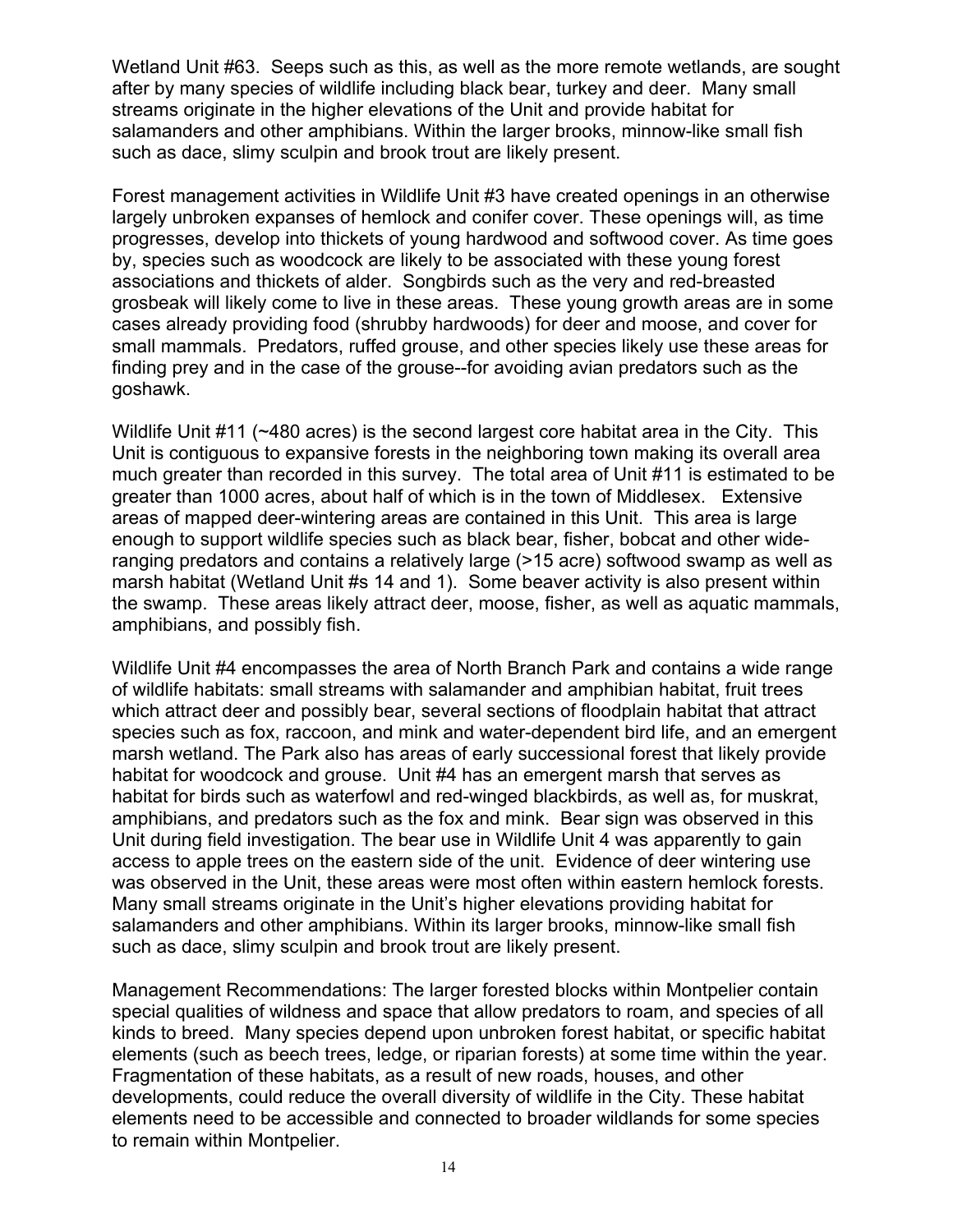Wetland Unit #63. Seeps such as this, as well as the more remote wetlands, are sought after by many species of wildlife including black bear, turkey and deer. Many small streams originate in the higher elevations of the Unit and provide habitat for salamanders and other amphibians. Within the larger brooks, minnow-like small fish such as dace, slimy sculpin and brook trout are likely present.

Forest management activities in Wildlife Unit #3 have created openings in an otherwise largely unbroken expanses of hemlock and conifer cover. These openings will, as time progresses, develop into thickets of young hardwood and softwood cover. As time goes by, species such as woodcock are likely to be associated with these young forest associations and thickets of alder. Songbirds such as the very and red-breasted grosbeak will likely come to live in these areas. These young growth areas are in some cases already providing food (shrubby hardwoods) for deer and moose, and cover for small mammals. Predators, ruffed grouse, and other species likely use these areas for finding prey and in the case of the grouse--for avoiding avian predators such as the goshawk.

Wildlife Unit #11 (~480 acres) is the second largest core habitat area in the City. This Unit is contiguous to expansive forests in the neighboring town making its overall area much greater than recorded in this survey. The total area of Unit #11 is estimated to be greater than 1000 acres, about half of which is in the town of Middlesex. Extensive areas of mapped deer-wintering areas are contained in this Unit. This area is large enough to support wildlife species such as black bear, fisher, bobcat and other wideranging predators and contains a relatively large (>15 acre) softwood swamp as well as marsh habitat (Wetland Unit #s 14 and 1). Some beaver activity is also present within the swamp. These areas likely attract deer, moose, fisher, as well as aquatic mammals, amphibians, and possibly fish.

Wildlife Unit #4 encompasses the area of North Branch Park and contains a wide range of wildlife habitats: small streams with salamander and amphibian habitat, fruit trees which attract deer and possibly bear, several sections of floodplain habitat that attract species such as fox, raccoon, and mink and water-dependent bird life, and an emergent marsh wetland. The Park also has areas of early successional forest that likely provide habitat for woodcock and grouse. Unit #4 has an emergent marsh that serves as habitat for birds such as waterfowl and red-winged blackbirds, as well as, for muskrat, amphibians, and predators such as the fox and mink. Bear sign was observed in this Unit during field investigation. The bear use in Wildlife Unit 4 was apparently to gain access to apple trees on the eastern side of the unit. Evidence of deer wintering use was observed in the Unit, these areas were most often within eastern hemlock forests. Many small streams originate in the Unit's higher elevations providing habitat for salamanders and other amphibians. Within its larger brooks, minnow-like small fish such as dace, slimy sculpin and brook trout are likely present.

Management Recommendations: The larger forested blocks within Montpelier contain special qualities of wildness and space that allow predators to roam, and species of all kinds to breed. Many species depend upon unbroken forest habitat, or specific habitat elements (such as beech trees, ledge, or riparian forests) at some time within the year. Fragmentation of these habitats, as a result of new roads, houses, and other developments, could reduce the overall diversity of wildlife in the City. These habitat elements need to be accessible and connected to broader wildlands for some species to remain within Montpelier.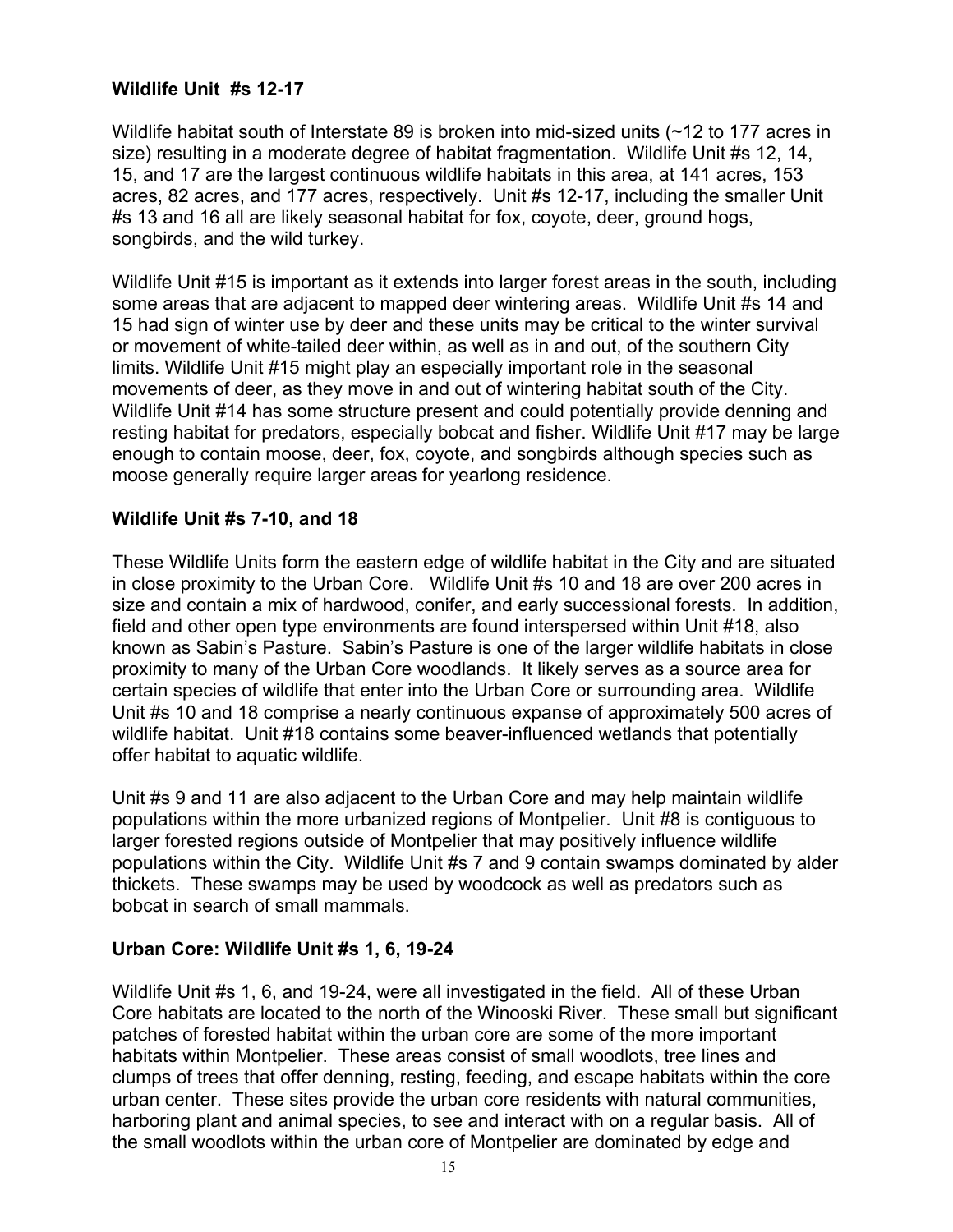#### **Wildlife Unit #s 12-17**

Wildlife habitat south of Interstate 89 is broken into mid-sized units (~12 to 177 acres in size) resulting in a moderate degree of habitat fragmentation. Wildlife Unit #s 12, 14, 15, and 17 are the largest continuous wildlife habitats in this area, at 141 acres, 153 acres, 82 acres, and 177 acres, respectively. Unit #s 12-17, including the smaller Unit #s 13 and 16 all are likely seasonal habitat for fox, coyote, deer, ground hogs, songbirds, and the wild turkey.

Wildlife Unit #15 is important as it extends into larger forest areas in the south, including some areas that are adjacent to mapped deer wintering areas. Wildlife Unit #s 14 and 15 had sign of winter use by deer and these units may be critical to the winter survival or movement of white-tailed deer within, as well as in and out, of the southern City limits. Wildlife Unit #15 might play an especially important role in the seasonal movements of deer, as they move in and out of wintering habitat south of the City. Wildlife Unit #14 has some structure present and could potentially provide denning and resting habitat for predators, especially bobcat and fisher. Wildlife Unit #17 may be large enough to contain moose, deer, fox, coyote, and songbirds although species such as moose generally require larger areas for yearlong residence.

#### **Wildlife Unit #s 7-10, and 18**

These Wildlife Units form the eastern edge of wildlife habitat in the City and are situated in close proximity to the Urban Core. Wildlife Unit #s 10 and 18 are over 200 acres in size and contain a mix of hardwood, conifer, and early successional forests. In addition, field and other open type environments are found interspersed within Unit #18, also known as Sabin's Pasture. Sabin's Pasture is one of the larger wildlife habitats in close proximity to many of the Urban Core woodlands. It likely serves as a source area for certain species of wildlife that enter into the Urban Core or surrounding area. Wildlife Unit #s 10 and 18 comprise a nearly continuous expanse of approximately 500 acres of wildlife habitat. Unit #18 contains some beaver-influenced wetlands that potentially offer habitat to aquatic wildlife.

Unit #s 9 and 11 are also adjacent to the Urban Core and may help maintain wildlife populations within the more urbanized regions of Montpelier. Unit #8 is contiguous to larger forested regions outside of Montpelier that may positively influence wildlife populations within the City. Wildlife Unit #s 7 and 9 contain swamps dominated by alder thickets. These swamps may be used by woodcock as well as predators such as bobcat in search of small mammals.

#### **Urban Core: Wildlife Unit #s 1, 6, 19-24**

Wildlife Unit #s 1, 6, and 19-24, were all investigated in the field. All of these Urban Core habitats are located to the north of the Winooski River. These small but significant patches of forested habitat within the urban core are some of the more important habitats within Montpelier. These areas consist of small woodlots, tree lines and clumps of trees that offer denning, resting, feeding, and escape habitats within the core urban center. These sites provide the urban core residents with natural communities, harboring plant and animal species, to see and interact with on a regular basis. All of the small woodlots within the urban core of Montpelier are dominated by edge and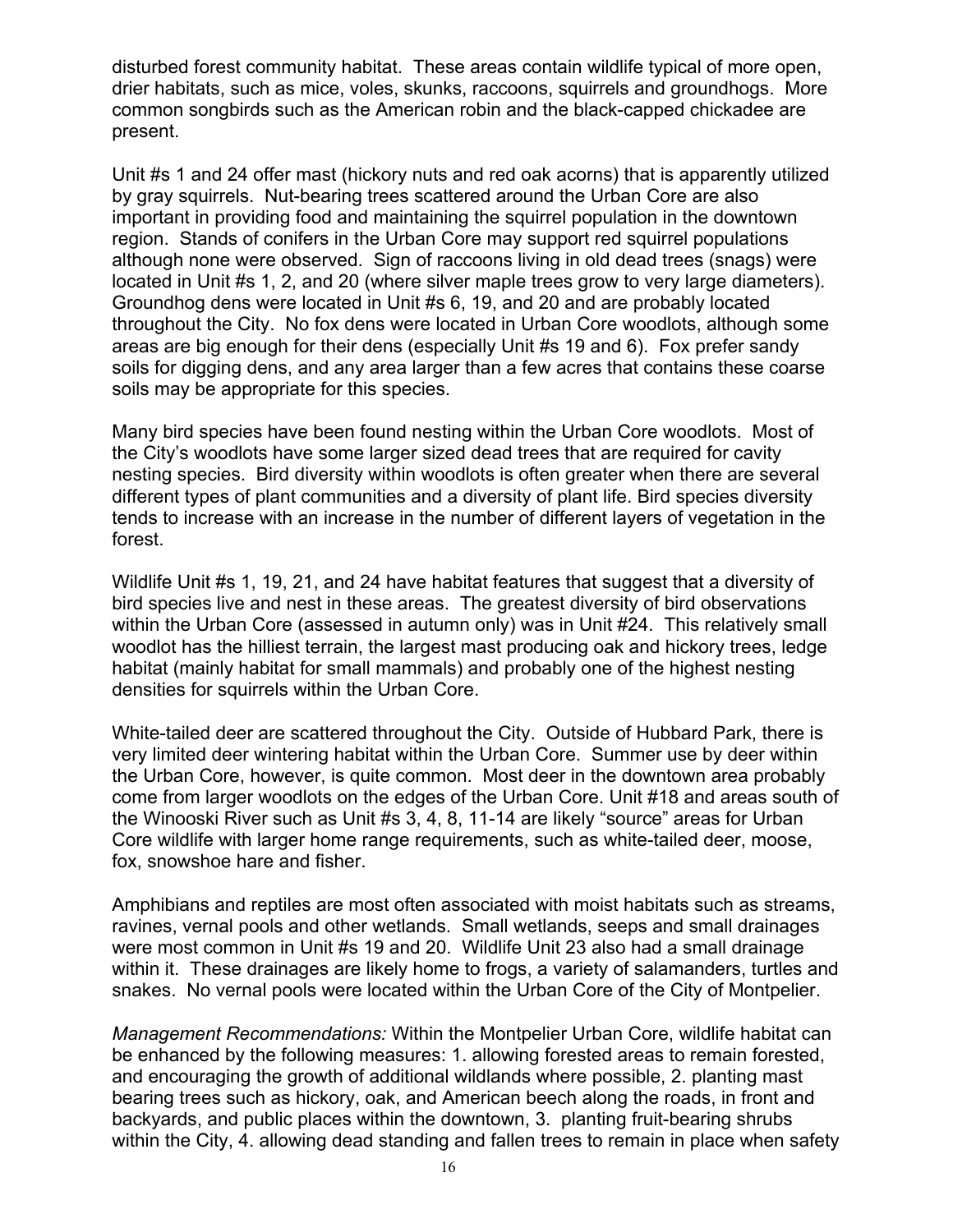disturbed forest community habitat. These areas contain wildlife typical of more open, drier habitats, such as mice, voles, skunks, raccoons, squirrels and groundhogs. More common songbirds such as the American robin and the black-capped chickadee are present.

Unit #s 1 and 24 offer mast (hickory nuts and red oak acorns) that is apparently utilized by gray squirrels. Nut-bearing trees scattered around the Urban Core are also important in providing food and maintaining the squirrel population in the downtown region. Stands of conifers in the Urban Core may support red squirrel populations although none were observed. Sign of raccoons living in old dead trees (snags) were located in Unit #s 1, 2, and 20 (where silver maple trees grow to very large diameters). Groundhog dens were located in Unit #s 6, 19, and 20 and are probably located throughout the City. No fox dens were located in Urban Core woodlots, although some areas are big enough for their dens (especially Unit #s 19 and 6). Fox prefer sandy soils for digging dens, and any area larger than a few acres that contains these coarse soils may be appropriate for this species.

Many bird species have been found nesting within the Urban Core woodlots. Most of the City's woodlots have some larger sized dead trees that are required for cavity nesting species. Bird diversity within woodlots is often greater when there are several different types of plant communities and a diversity of plant life. Bird species diversity tends to increase with an increase in the number of different layers of vegetation in the forest.

Wildlife Unit #s 1, 19, 21, and 24 have habitat features that suggest that a diversity of bird species live and nest in these areas. The greatest diversity of bird observations within the Urban Core (assessed in autumn only) was in Unit #24. This relatively small woodlot has the hilliest terrain, the largest mast producing oak and hickory trees, ledge habitat (mainly habitat for small mammals) and probably one of the highest nesting densities for squirrels within the Urban Core.

White-tailed deer are scattered throughout the City. Outside of Hubbard Park, there is very limited deer wintering habitat within the Urban Core. Summer use by deer within the Urban Core, however, is quite common. Most deer in the downtown area probably come from larger woodlots on the edges of the Urban Core. Unit #18 and areas south of the Winooski River such as Unit #s 3, 4, 8, 11-14 are likely "source" areas for Urban Core wildlife with larger home range requirements, such as white-tailed deer, moose, fox, snowshoe hare and fisher.

Amphibians and reptiles are most often associated with moist habitats such as streams, ravines, vernal pools and other wetlands. Small wetlands, seeps and small drainages were most common in Unit #s 19 and 20. Wildlife Unit 23 also had a small drainage within it. These drainages are likely home to frogs, a variety of salamanders, turtles and snakes. No vernal pools were located within the Urban Core of the City of Montpelier.

*Management Recommendations:* Within the Montpelier Urban Core, wildlife habitat can be enhanced by the following measures: 1. allowing forested areas to remain forested, and encouraging the growth of additional wildlands where possible, 2. planting mast bearing trees such as hickory, oak, and American beech along the roads, in front and backyards, and public places within the downtown, 3. planting fruit-bearing shrubs within the City, 4. allowing dead standing and fallen trees to remain in place when safety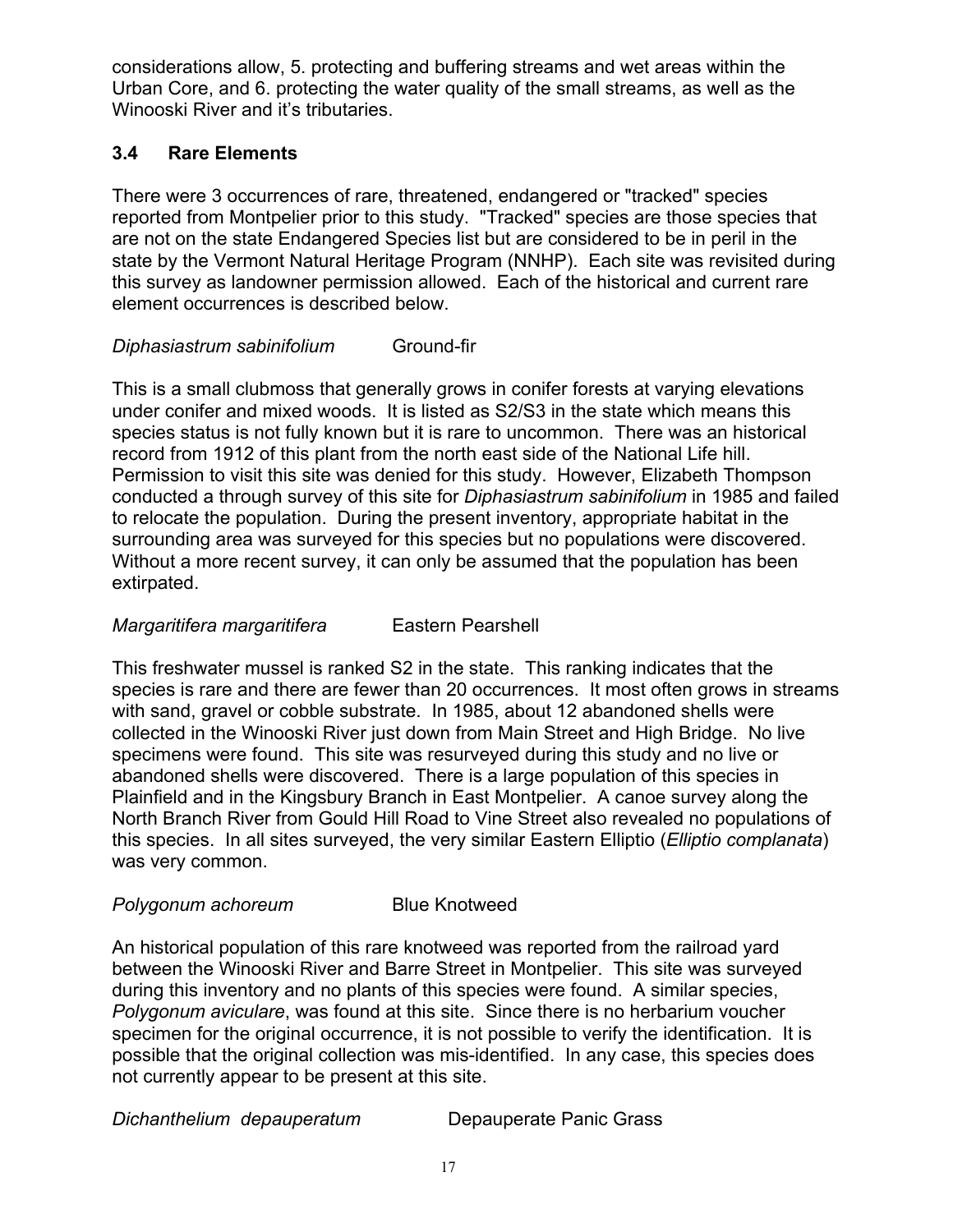considerations allow, 5. protecting and buffering streams and wet areas within the Urban Core, and 6. protecting the water quality of the small streams, as well as the Winooski River and it's tributaries.

#### **3.4 Rare Elements**

There were 3 occurrences of rare, threatened, endangered or "tracked" species reported from Montpelier prior to this study. "Tracked" species are those species that are not on the state Endangered Species list but are considered to be in peril in the state by the Vermont Natural Heritage Program (NNHP). Each site was revisited during this survey as landowner permission allowed. Each of the historical and current rare element occurrences is described below.

#### *Diphasiastrum sabinifolium* Ground-fir

This is a small clubmoss that generally grows in conifer forests at varying elevations under conifer and mixed woods. It is listed as S2/S3 in the state which means this species status is not fully known but it is rare to uncommon. There was an historical record from 1912 of this plant from the north east side of the National Life hill. Permission to visit this site was denied for this study. However, Elizabeth Thompson conducted a through survey of this site for *Diphasiastrum sabinifolium* in 1985 and failed to relocate the population. During the present inventory, appropriate habitat in the surrounding area was surveyed for this species but no populations were discovered. Without a more recent survey, it can only be assumed that the population has been extirpated.

#### *Margaritifera margaritifera* Eastern Pearshell

This freshwater mussel is ranked S2 in the state. This ranking indicates that the species is rare and there are fewer than 20 occurrences. It most often grows in streams with sand, gravel or cobble substrate. In 1985, about 12 abandoned shells were collected in the Winooski River just down from Main Street and High Bridge. No live specimens were found. This site was resurveyed during this study and no live or abandoned shells were discovered. There is a large population of this species in Plainfield and in the Kingsbury Branch in East Montpelier. A canoe survey along the North Branch River from Gould Hill Road to Vine Street also revealed no populations of this species. In all sites surveyed, the very similar Eastern Elliptio (*Elliptio complanata*) was very common.

#### **Polygonum achoreum** Blue Knotweed

An historical population of this rare knotweed was reported from the railroad yard between the Winooski River and Barre Street in Montpelier. This site was surveyed during this inventory and no plants of this species were found. A similar species, *Polygonum aviculare*, was found at this site. Since there is no herbarium voucher specimen for the original occurrence, it is not possible to verify the identification. It is possible that the original collection was mis-identified. In any case, this species does not currently appear to be present at this site.

*Dichanthelium depauperatum* Depauperate Panic Grass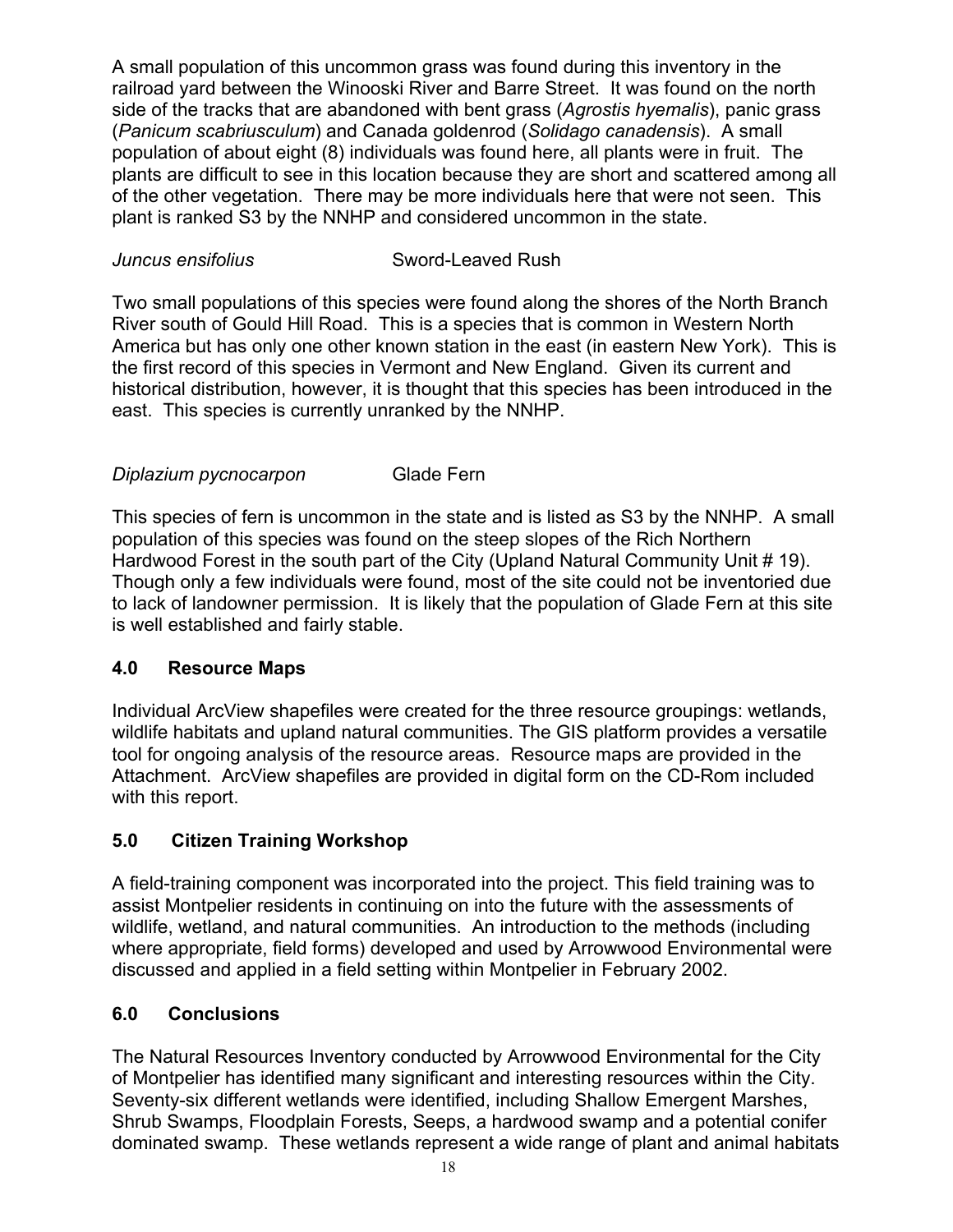A small population of this uncommon grass was found during this inventory in the railroad yard between the Winooski River and Barre Street. It was found on the north side of the tracks that are abandoned with bent grass (*Agrostis hyemalis*), panic grass (*Panicum scabriusculum*) and Canada goldenrod (*Solidago canadensis*). A small population of about eight (8) individuals was found here, all plants were in fruit. The plants are difficult to see in this location because they are short and scattered among all of the other vegetation. There may be more individuals here that were not seen. This plant is ranked S3 by the NNHP and considered uncommon in the state.

#### *Juncus ensifolius* Sword-Leaved Rush

Two small populations of this species were found along the shores of the North Branch River south of Gould Hill Road. This is a species that is common in Western North America but has only one other known station in the east (in eastern New York). This is the first record of this species in Vermont and New England. Given its current and historical distribution, however, it is thought that this species has been introduced in the east. This species is currently unranked by the NNHP.

#### *Diplazium pycnocarpon* Glade Fern

This species of fern is uncommon in the state and is listed as S3 by the NNHP. A small population of this species was found on the steep slopes of the Rich Northern Hardwood Forest in the south part of the City (Upland Natural Community Unit # 19). Though only a few individuals were found, most of the site could not be inventoried due to lack of landowner permission. It is likely that the population of Glade Fern at this site is well established and fairly stable.

#### **4.0 Resource Maps**

Individual ArcView shapefiles were created for the three resource groupings: wetlands, wildlife habitats and upland natural communities. The GIS platform provides a versatile tool for ongoing analysis of the resource areas. Resource maps are provided in the Attachment. ArcView shapefiles are provided in digital form on the CD-Rom included with this report.

#### **5.0 Citizen Training Workshop**

A field-training component was incorporated into the project. This field training was to assist Montpelier residents in continuing on into the future with the assessments of wildlife, wetland, and natural communities. An introduction to the methods (including where appropriate, field forms) developed and used by Arrowwood Environmental were discussed and applied in a field setting within Montpelier in February 2002.

#### **6.0 Conclusions**

The Natural Resources Inventory conducted by Arrowwood Environmental for the City of Montpelier has identified many significant and interesting resources within the City. Seventy-six different wetlands were identified, including Shallow Emergent Marshes, Shrub Swamps, Floodplain Forests, Seeps, a hardwood swamp and a potential conifer dominated swamp. These wetlands represent a wide range of plant and animal habitats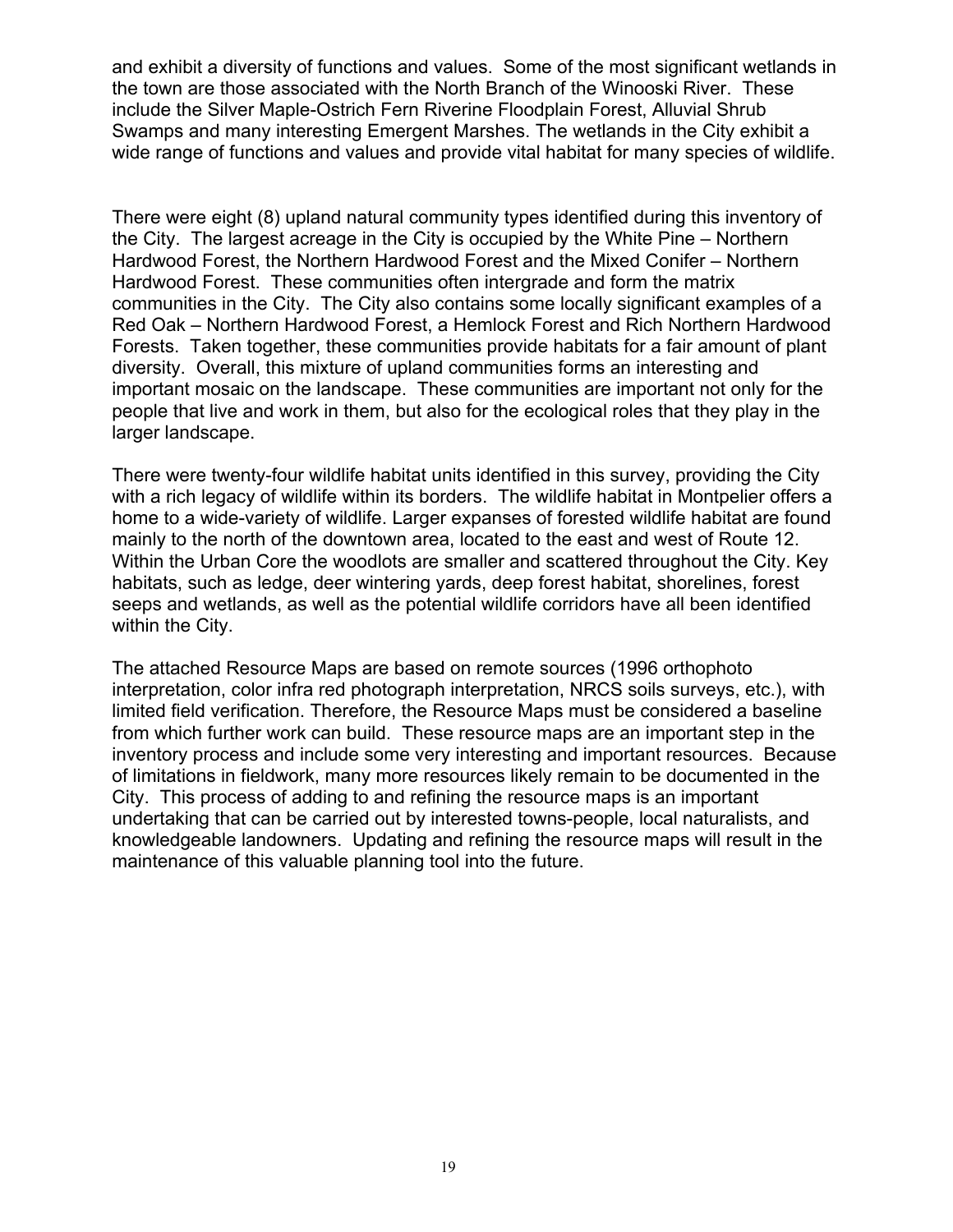and exhibit a diversity of functions and values. Some of the most significant wetlands in the town are those associated with the North Branch of the Winooski River. These include the Silver Maple-Ostrich Fern Riverine Floodplain Forest, Alluvial Shrub Swamps and many interesting Emergent Marshes. The wetlands in the City exhibit a wide range of functions and values and provide vital habitat for many species of wildlife.

There were eight (8) upland natural community types identified during this inventory of the City. The largest acreage in the City is occupied by the White Pine – Northern Hardwood Forest, the Northern Hardwood Forest and the Mixed Conifer – Northern Hardwood Forest. These communities often intergrade and form the matrix communities in the City. The City also contains some locally significant examples of a Red Oak – Northern Hardwood Forest, a Hemlock Forest and Rich Northern Hardwood Forests. Taken together, these communities provide habitats for a fair amount of plant diversity. Overall, this mixture of upland communities forms an interesting and important mosaic on the landscape. These communities are important not only for the people that live and work in them, but also for the ecological roles that they play in the larger landscape.

There were twenty-four wildlife habitat units identified in this survey, providing the City with a rich legacy of wildlife within its borders. The wildlife habitat in Montpelier offers a home to a wide-variety of wildlife. Larger expanses of forested wildlife habitat are found mainly to the north of the downtown area, located to the east and west of Route 12. Within the Urban Core the woodlots are smaller and scattered throughout the City. Key habitats, such as ledge, deer wintering yards, deep forest habitat, shorelines, forest seeps and wetlands, as well as the potential wildlife corridors have all been identified within the City.

The attached Resource Maps are based on remote sources (1996 orthophoto interpretation, color infra red photograph interpretation, NRCS soils surveys, etc.), with limited field verification. Therefore, the Resource Maps must be considered a baseline from which further work can build. These resource maps are an important step in the inventory process and include some very interesting and important resources. Because of limitations in fieldwork, many more resources likely remain to be documented in the City. This process of adding to and refining the resource maps is an important undertaking that can be carried out by interested towns-people, local naturalists, and knowledgeable landowners. Updating and refining the resource maps will result in the maintenance of this valuable planning tool into the future.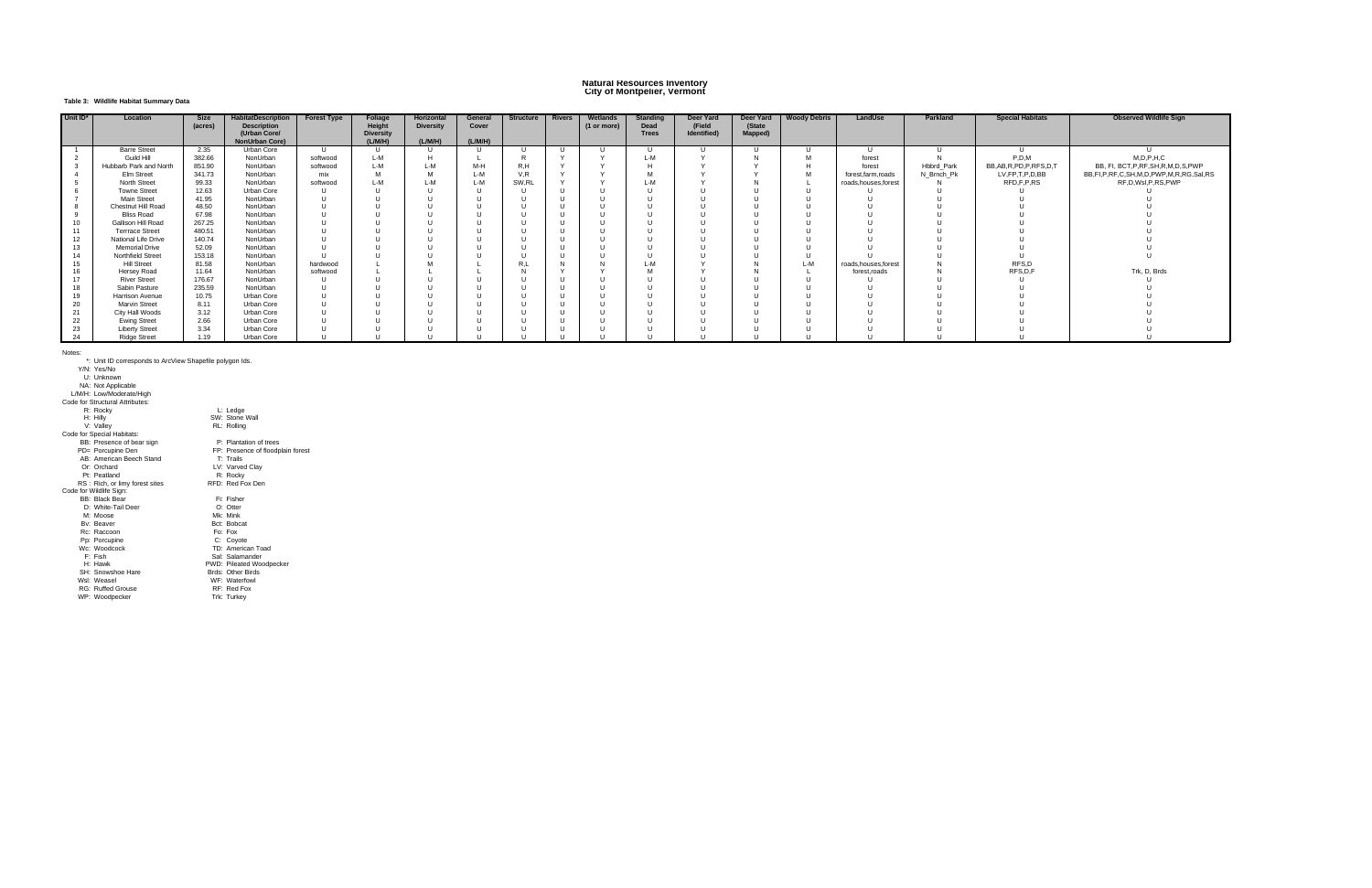#### **Natural Resources Inventory City of Montpelier, Vermont**

#### **Table 3: Wildlife Habitat Summary Data**

| Unit ID* | Location                  | Size    | <b>HabitatDescription</b> | <b>Forest Type</b> | <b>Foliage</b>   | <b>Horizontal</b> | General | <b>Structure</b> | Rivers       | Wetlands    | <b>Standing</b> | Deer Yard   | Deer Yard | <b>Woody Debris</b> | LandUse               | Parkland   | <b>Special Habitats</b>     | <b>Observed Wildlife Sign</b>           |
|----------|---------------------------|---------|---------------------------|--------------------|------------------|-------------------|---------|------------------|--------------|-------------|-----------------|-------------|-----------|---------------------|-----------------------|------------|-----------------------------|-----------------------------------------|
|          |                           | (acres) | <b>Description</b>        |                    | Height           | <b>Diversity</b>  | Cover   |                  |              | (1 or more) | Dead            | (Field      | (State    |                     |                       |            |                             |                                         |
|          |                           |         | (Urban Core/              |                    | <b>Diversity</b> |                   |         |                  |              |             | <b>Trees</b>    | Identified) | Mapped)   |                     |                       |            |                             |                                         |
|          |                           |         | <b>NonUrban Core)</b>     |                    | (L/M/H)          | (L/M/H)           | (L/M/H) |                  |              |             |                 |             |           |                     |                       |            |                             |                                         |
|          | <b>Barre Street</b>       | 2.35    | Urban Core                | U                  | -U               |                   |         | -11              | $\mathbf{U}$ |             |                 |             |           |                     | - 11                  |            |                             |                                         |
|          | Guild Hill                | 382.66  | NonUrban                  | softwood           | L-M              |                   |         |                  |              |             | L-M             |             |           |                     | forest                |            | P.D.M                       | M, D, P, H, C                           |
|          | Hubbarb Park and North    | 851.90  | NonUrban                  | softwood           | L-M              | L-M               | M-H     | R.H              |              |             |                 |             |           |                     | forest                | Hbbrd Park | BB, AB, R, PD, P, RFS, D, T | BB, FI, BCT, P, RF, SH, R, M, D, S, PWP |
|          | Elm Street                | 341.73  | NonUrban                  | mix                | M                | <b>M</b>          | L-M     | V.R              |              |             |                 |             |           |                     | forest.farm.roads     | N Brnch Pk | LV,FP,T,P,D,BB              | BB,FI,P,RF,C,SH,M,D,PWP,M,R,RG,Sal,RS   |
|          | <b>North Street</b>       | 99.33   | NonUrban                  | softwood           | L-M              | L-M               | $1 - M$ | SW.RL            | $\lambda$    |             | L-M             |             |           |                     | roads, houses, forest |            | RFD,F,P,RS                  | RF, D, WsI, P, RS, PWP                  |
|          | <b>Towne Street</b>       | 12.63   | Urban Core                |                    |                  |                   |         | $\Box$           |              |             |                 |             |           |                     |                       |            |                             |                                         |
|          | <b>Main Street</b>        | 41.95   | NonUrban                  | $\mathbf{U}$       |                  |                   |         |                  |              |             |                 |             |           |                     | -11                   |            |                             |                                         |
|          | Chestnut Hill Road        | 48.50   | NonUrban                  | $\overline{11}$    |                  |                   |         |                  |              |             |                 |             |           |                     |                       |            |                             |                                         |
|          | <b>Bliss Road</b>         | 67.98   | NonUrban                  |                    |                  |                   |         |                  |              |             |                 |             |           |                     |                       |            |                             |                                         |
|          | <b>Gallison Hill Road</b> | 267.25  | NonUrban                  | $\blacksquare$     |                  |                   |         |                  |              |             |                 |             |           |                     | $\overline{11}$       |            |                             |                                         |
|          | <b>Terrrace Street</b>    | 480.51  | NonUrban                  |                    |                  |                   |         |                  |              |             |                 |             |           |                     | $\overline{11}$       |            |                             |                                         |
|          | National Life Drive       | 140.74  | NonUrban                  |                    |                  |                   |         |                  |              |             |                 |             |           |                     |                       |            |                             |                                         |
|          | <b>Memorial Drive</b>     | 52.09   | NonUrban                  | $\mathbf{U}$       |                  |                   |         |                  |              |             |                 |             |           |                     | - 11                  |            |                             |                                         |
|          | <b>Northfield Street</b>  | 153.18  | NonUrban                  | $\mathbf{H}$       |                  |                   |         |                  |              |             |                 |             |           |                     | $\overline{11}$       |            |                             |                                         |
|          | <b>Hill Street</b>        | 81.58   | NonUrban                  | hardwood           |                  |                   |         | R,L              |              |             | L-M             |             |           |                     | roads, houses, forest |            | RFS,D                       |                                         |
|          | Hersey Road               | 11.64   | NonUrban                  | softwood           |                  |                   |         |                  |              |             |                 |             |           |                     | forest, roads         |            | RFS,D,F                     | Trk, D, Brds                            |
|          | <b>River Street</b>       | 176.67  | NonUrban                  |                    |                  |                   |         |                  |              |             |                 |             |           |                     |                       |            |                             |                                         |
|          | Sabin Pasture             | 235.59  | NonUrban                  |                    |                  |                   |         |                  |              |             |                 |             |           |                     |                       |            |                             |                                         |
| 19       | <b>Harrison Avenue</b>    | 10.75   | Urban Core                | $\blacksquare$     |                  |                   |         |                  |              |             |                 |             |           |                     | - 11                  |            |                             |                                         |
| 20       | <b>Marvin Street</b>      | 8.11    | Urban Core                |                    |                  |                   |         |                  |              |             |                 |             |           |                     | $\Box$                |            |                             |                                         |
| 21       | City Hall Woods           | 3.12    | Urban Core                | $\overline{11}$    |                  |                   |         |                  |              |             |                 |             |           |                     | - 11                  |            |                             |                                         |
| 22       | <b>Ewing Street</b>       | 2.66    | Urban Core                |                    |                  |                   |         |                  |              |             |                 |             |           |                     |                       |            |                             |                                         |
| 23       | <b>Liberty Street</b>     | 3.34    | Urban Core                |                    |                  |                   |         |                  |              |             |                 |             |           |                     |                       |            |                             |                                         |
| 24       | <b>Ridge Street</b>       | 1.19    | Urban Core                |                    |                  |                   |         |                  |              |             |                 |             |           |                     | - 11                  |            |                             |                                         |

P: Plantation of trees<br>PP: Presence of floodplain forest<br>T: Trails<br>LV: Varved Clay AB: American Beech Stand T: Trails<br>
Or: Orchard LV: Varved Clay<br>
Pt: Peatland R: Rocky<br>
RS : Rich, or limy forest sites RFD: Red Fox Den<br>
BB: Black Bear Fi: Fisher<br>
D: White-Tail Deer O: Otter M: Moose Mk: Mink<br>Bv: Beaver Bot: Bobcat<br>Rc: Raccoon Fo: Fox<br>Pp: Porcupine C: Coyote Wc: Woodcock TD: American Toad F: Fish Sal: Salamander H: Hawk PWD: Pileated Woodpecker

- 
- SH: Snowshoe Hare Bras: Other Birds: Other Birds: Other Birds<br>Wsl: Weasel WF: Waterfowl<br>RG: Ruffed Grouse RF: Red Fox

WP: Woodpecker

Notes: \*: Unit ID corresponds to ArcView Shapefile polygon Ids. Y/N: Yes/No U: Unknown NA: Not Applicable L/M/H: Low/Moderate/High

Code for Structural Attributes: R: Rocky<br>
H: Hilly V: Valley SW: Stone Wall<br>
V: Valley SW: Stone Wall<br>
Code for Special Habitats:<br>
BB: Presence of bear sign P: Plantation of trees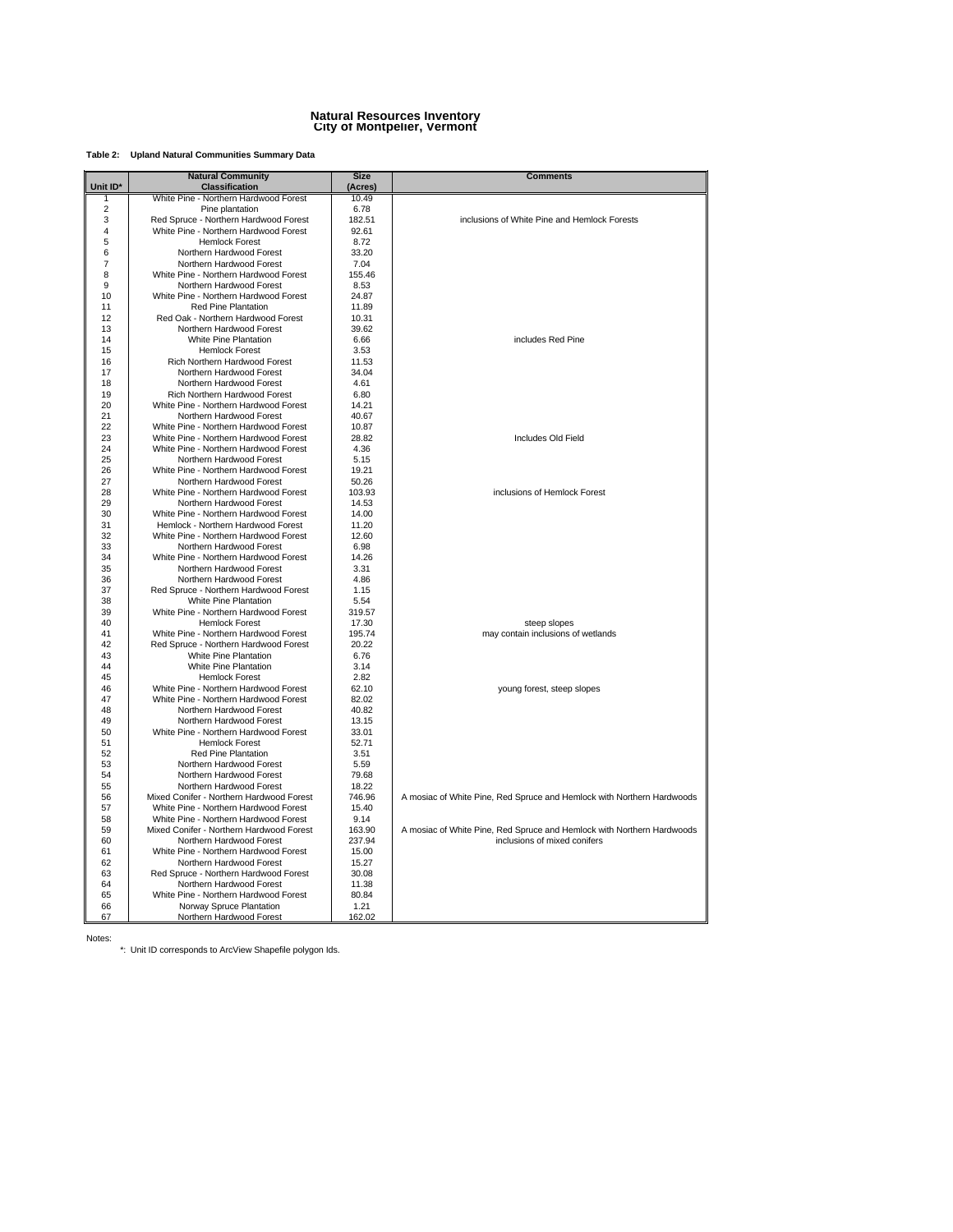#### **Natural Resources Inventory City of Montpelier, Vermont**

#### **Table 2: Upland Natural Communities Summary Data**

| Unit ID*<br><b>Classification</b><br>(Acres)<br>White Pine - Northern Hardwood Forest<br>10.49<br>1<br>$\overline{2}$<br>Pine plantation<br>6.78<br>3<br>Red Spruce - Northern Hardwood Forest<br>182.51<br>inclusions of White Pine and Hemlock Forests<br>4<br>White Pine - Northern Hardwood Forest<br>92.61<br>5<br><b>Hemlock Forest</b><br>8.72<br>6<br>Northern Hardwood Forest<br>33.20<br>$\overline{7}$<br>Northern Hardwood Forest<br>7.04<br>8<br>White Pine - Northern Hardwood Forest<br>155.46<br>9<br>Northern Hardwood Forest<br>8.53<br>10<br>White Pine - Northern Hardwood Forest<br>24.87<br>Red Pine Plantation<br>11.89<br>11<br>12<br>Red Oak - Northern Hardwood Forest<br>10.31<br>13<br>Northern Hardwood Forest<br>39.62<br>White Pine Plantation<br>includes Red Pine<br>14<br>6.66<br>15<br><b>Hemlock Forest</b><br>3.53<br>Rich Northern Hardwood Forest<br>11.53<br>16<br>Northern Hardwood Forest<br>34.04<br>17<br>18<br>Northern Hardwood Forest<br>4.61<br>19<br>Rich Northern Hardwood Forest<br>6.80<br>20<br>White Pine - Northern Hardwood Forest<br>14.21<br>21<br>Northern Hardwood Forest<br>40.67<br>22<br>White Pine - Northern Hardwood Forest<br>10.87<br>23<br>Includes Old Field<br>White Pine - Northern Hardwood Forest<br>28.82<br>24<br>White Pine - Northern Hardwood Forest<br>4.36<br>25<br>Northern Hardwood Forest<br>5.15<br>26<br>White Pine - Northern Hardwood Forest<br>19.21<br>27<br>Northern Hardwood Forest<br>50.26<br>28<br>White Pine - Northern Hardwood Forest<br>103.93<br>inclusions of Hemlock Forest<br>29<br>Northern Hardwood Forest<br>14.53<br>30<br>White Pine - Northern Hardwood Forest<br>14.00<br>Hemlock - Northern Hardwood Forest<br>31<br>11.20<br>32<br>White Pine - Northern Hardwood Forest<br>12.60<br>33<br>Northern Hardwood Forest<br>6.98<br>34<br>White Pine - Northern Hardwood Forest<br>14.26<br>35<br>Northern Hardwood Forest<br>3.31<br>4.86<br>36<br>Northern Hardwood Forest<br>37<br>Red Spruce - Northern Hardwood Forest<br>1.15<br>38<br>White Pine Plantation<br>5.54<br>39<br>White Pine - Northern Hardwood Forest<br>319.57<br><b>Hemlock Forest</b><br>40<br>17.30<br>steep slopes<br>41<br>White Pine - Northern Hardwood Forest<br>195.74<br>may contain inclusions of wetlands<br>42<br>Red Spruce - Northern Hardwood Forest<br>20.22<br><b>White Pine Plantation</b><br>6.76<br>43<br>44<br>White Pine Plantation<br>3.14<br>45<br><b>Hemlock Forest</b><br>2.82<br>46<br>White Pine - Northern Hardwood Forest<br>62.10<br>young forest, steep slopes<br>47<br>White Pine - Northern Hardwood Forest<br>82.02<br>48<br>Northern Hardwood Forest<br>40.82<br>49<br>Northern Hardwood Forest<br>13.15<br>50<br>White Pine - Northern Hardwood Forest<br>33.01<br>51<br><b>Hemlock Forest</b><br>52.71<br>52<br><b>Red Pine Plantation</b><br>3.51<br>53<br>Northern Hardwood Forest<br>5.59<br>54<br>Northern Hardwood Forest<br>79.68<br>55<br>Northern Hardwood Forest<br>18.22<br>Mixed Conifer - Northern Hardwood Forest<br>56<br>746.96<br>A mosiac of White Pine, Red Spruce and Hemlock with Northern Hardwoods<br>57<br>White Pine - Northern Hardwood Forest<br>15.40 |    | <b>Natural Community</b>              | <b>Size</b> | <b>Comments</b> |
|---------------------------------------------------------------------------------------------------------------------------------------------------------------------------------------------------------------------------------------------------------------------------------------------------------------------------------------------------------------------------------------------------------------------------------------------------------------------------------------------------------------------------------------------------------------------------------------------------------------------------------------------------------------------------------------------------------------------------------------------------------------------------------------------------------------------------------------------------------------------------------------------------------------------------------------------------------------------------------------------------------------------------------------------------------------------------------------------------------------------------------------------------------------------------------------------------------------------------------------------------------------------------------------------------------------------------------------------------------------------------------------------------------------------------------------------------------------------------------------------------------------------------------------------------------------------------------------------------------------------------------------------------------------------------------------------------------------------------------------------------------------------------------------------------------------------------------------------------------------------------------------------------------------------------------------------------------------------------------------------------------------------------------------------------------------------------------------------------------------------------------------------------------------------------------------------------------------------------------------------------------------------------------------------------------------------------------------------------------------------------------------------------------------------------------------------------------------------------------------------------------------------------------------------------------------------------------------------------------------------------------------------------------------------------------------------------------------------------------------------------------------------------------------------------------------------------------------------------------------------------------------------------------------------------------------------------------------------------------------------------------------------------------------------------------------------------------------------------------------------------------------------------------------------------------------------------------|----|---------------------------------------|-------------|-----------------|
|                                                                                                                                                                                                                                                                                                                                                                                                                                                                                                                                                                                                                                                                                                                                                                                                                                                                                                                                                                                                                                                                                                                                                                                                                                                                                                                                                                                                                                                                                                                                                                                                                                                                                                                                                                                                                                                                                                                                                                                                                                                                                                                                                                                                                                                                                                                                                                                                                                                                                                                                                                                                                                                                                                                                                                                                                                                                                                                                                                                                                                                                                                                                                                                                         |    |                                       |             |                 |
|                                                                                                                                                                                                                                                                                                                                                                                                                                                                                                                                                                                                                                                                                                                                                                                                                                                                                                                                                                                                                                                                                                                                                                                                                                                                                                                                                                                                                                                                                                                                                                                                                                                                                                                                                                                                                                                                                                                                                                                                                                                                                                                                                                                                                                                                                                                                                                                                                                                                                                                                                                                                                                                                                                                                                                                                                                                                                                                                                                                                                                                                                                                                                                                                         |    |                                       |             |                 |
|                                                                                                                                                                                                                                                                                                                                                                                                                                                                                                                                                                                                                                                                                                                                                                                                                                                                                                                                                                                                                                                                                                                                                                                                                                                                                                                                                                                                                                                                                                                                                                                                                                                                                                                                                                                                                                                                                                                                                                                                                                                                                                                                                                                                                                                                                                                                                                                                                                                                                                                                                                                                                                                                                                                                                                                                                                                                                                                                                                                                                                                                                                                                                                                                         |    |                                       |             |                 |
|                                                                                                                                                                                                                                                                                                                                                                                                                                                                                                                                                                                                                                                                                                                                                                                                                                                                                                                                                                                                                                                                                                                                                                                                                                                                                                                                                                                                                                                                                                                                                                                                                                                                                                                                                                                                                                                                                                                                                                                                                                                                                                                                                                                                                                                                                                                                                                                                                                                                                                                                                                                                                                                                                                                                                                                                                                                                                                                                                                                                                                                                                                                                                                                                         |    |                                       |             |                 |
|                                                                                                                                                                                                                                                                                                                                                                                                                                                                                                                                                                                                                                                                                                                                                                                                                                                                                                                                                                                                                                                                                                                                                                                                                                                                                                                                                                                                                                                                                                                                                                                                                                                                                                                                                                                                                                                                                                                                                                                                                                                                                                                                                                                                                                                                                                                                                                                                                                                                                                                                                                                                                                                                                                                                                                                                                                                                                                                                                                                                                                                                                                                                                                                                         |    |                                       |             |                 |
|                                                                                                                                                                                                                                                                                                                                                                                                                                                                                                                                                                                                                                                                                                                                                                                                                                                                                                                                                                                                                                                                                                                                                                                                                                                                                                                                                                                                                                                                                                                                                                                                                                                                                                                                                                                                                                                                                                                                                                                                                                                                                                                                                                                                                                                                                                                                                                                                                                                                                                                                                                                                                                                                                                                                                                                                                                                                                                                                                                                                                                                                                                                                                                                                         |    |                                       |             |                 |
|                                                                                                                                                                                                                                                                                                                                                                                                                                                                                                                                                                                                                                                                                                                                                                                                                                                                                                                                                                                                                                                                                                                                                                                                                                                                                                                                                                                                                                                                                                                                                                                                                                                                                                                                                                                                                                                                                                                                                                                                                                                                                                                                                                                                                                                                                                                                                                                                                                                                                                                                                                                                                                                                                                                                                                                                                                                                                                                                                                                                                                                                                                                                                                                                         |    |                                       |             |                 |
|                                                                                                                                                                                                                                                                                                                                                                                                                                                                                                                                                                                                                                                                                                                                                                                                                                                                                                                                                                                                                                                                                                                                                                                                                                                                                                                                                                                                                                                                                                                                                                                                                                                                                                                                                                                                                                                                                                                                                                                                                                                                                                                                                                                                                                                                                                                                                                                                                                                                                                                                                                                                                                                                                                                                                                                                                                                                                                                                                                                                                                                                                                                                                                                                         |    |                                       |             |                 |
|                                                                                                                                                                                                                                                                                                                                                                                                                                                                                                                                                                                                                                                                                                                                                                                                                                                                                                                                                                                                                                                                                                                                                                                                                                                                                                                                                                                                                                                                                                                                                                                                                                                                                                                                                                                                                                                                                                                                                                                                                                                                                                                                                                                                                                                                                                                                                                                                                                                                                                                                                                                                                                                                                                                                                                                                                                                                                                                                                                                                                                                                                                                                                                                                         |    |                                       |             |                 |
|                                                                                                                                                                                                                                                                                                                                                                                                                                                                                                                                                                                                                                                                                                                                                                                                                                                                                                                                                                                                                                                                                                                                                                                                                                                                                                                                                                                                                                                                                                                                                                                                                                                                                                                                                                                                                                                                                                                                                                                                                                                                                                                                                                                                                                                                                                                                                                                                                                                                                                                                                                                                                                                                                                                                                                                                                                                                                                                                                                                                                                                                                                                                                                                                         |    |                                       |             |                 |
|                                                                                                                                                                                                                                                                                                                                                                                                                                                                                                                                                                                                                                                                                                                                                                                                                                                                                                                                                                                                                                                                                                                                                                                                                                                                                                                                                                                                                                                                                                                                                                                                                                                                                                                                                                                                                                                                                                                                                                                                                                                                                                                                                                                                                                                                                                                                                                                                                                                                                                                                                                                                                                                                                                                                                                                                                                                                                                                                                                                                                                                                                                                                                                                                         |    |                                       |             |                 |
|                                                                                                                                                                                                                                                                                                                                                                                                                                                                                                                                                                                                                                                                                                                                                                                                                                                                                                                                                                                                                                                                                                                                                                                                                                                                                                                                                                                                                                                                                                                                                                                                                                                                                                                                                                                                                                                                                                                                                                                                                                                                                                                                                                                                                                                                                                                                                                                                                                                                                                                                                                                                                                                                                                                                                                                                                                                                                                                                                                                                                                                                                                                                                                                                         |    |                                       |             |                 |
|                                                                                                                                                                                                                                                                                                                                                                                                                                                                                                                                                                                                                                                                                                                                                                                                                                                                                                                                                                                                                                                                                                                                                                                                                                                                                                                                                                                                                                                                                                                                                                                                                                                                                                                                                                                                                                                                                                                                                                                                                                                                                                                                                                                                                                                                                                                                                                                                                                                                                                                                                                                                                                                                                                                                                                                                                                                                                                                                                                                                                                                                                                                                                                                                         |    |                                       |             |                 |
|                                                                                                                                                                                                                                                                                                                                                                                                                                                                                                                                                                                                                                                                                                                                                                                                                                                                                                                                                                                                                                                                                                                                                                                                                                                                                                                                                                                                                                                                                                                                                                                                                                                                                                                                                                                                                                                                                                                                                                                                                                                                                                                                                                                                                                                                                                                                                                                                                                                                                                                                                                                                                                                                                                                                                                                                                                                                                                                                                                                                                                                                                                                                                                                                         |    |                                       |             |                 |
|                                                                                                                                                                                                                                                                                                                                                                                                                                                                                                                                                                                                                                                                                                                                                                                                                                                                                                                                                                                                                                                                                                                                                                                                                                                                                                                                                                                                                                                                                                                                                                                                                                                                                                                                                                                                                                                                                                                                                                                                                                                                                                                                                                                                                                                                                                                                                                                                                                                                                                                                                                                                                                                                                                                                                                                                                                                                                                                                                                                                                                                                                                                                                                                                         |    |                                       |             |                 |
|                                                                                                                                                                                                                                                                                                                                                                                                                                                                                                                                                                                                                                                                                                                                                                                                                                                                                                                                                                                                                                                                                                                                                                                                                                                                                                                                                                                                                                                                                                                                                                                                                                                                                                                                                                                                                                                                                                                                                                                                                                                                                                                                                                                                                                                                                                                                                                                                                                                                                                                                                                                                                                                                                                                                                                                                                                                                                                                                                                                                                                                                                                                                                                                                         |    |                                       |             |                 |
|                                                                                                                                                                                                                                                                                                                                                                                                                                                                                                                                                                                                                                                                                                                                                                                                                                                                                                                                                                                                                                                                                                                                                                                                                                                                                                                                                                                                                                                                                                                                                                                                                                                                                                                                                                                                                                                                                                                                                                                                                                                                                                                                                                                                                                                                                                                                                                                                                                                                                                                                                                                                                                                                                                                                                                                                                                                                                                                                                                                                                                                                                                                                                                                                         |    |                                       |             |                 |
|                                                                                                                                                                                                                                                                                                                                                                                                                                                                                                                                                                                                                                                                                                                                                                                                                                                                                                                                                                                                                                                                                                                                                                                                                                                                                                                                                                                                                                                                                                                                                                                                                                                                                                                                                                                                                                                                                                                                                                                                                                                                                                                                                                                                                                                                                                                                                                                                                                                                                                                                                                                                                                                                                                                                                                                                                                                                                                                                                                                                                                                                                                                                                                                                         |    |                                       |             |                 |
|                                                                                                                                                                                                                                                                                                                                                                                                                                                                                                                                                                                                                                                                                                                                                                                                                                                                                                                                                                                                                                                                                                                                                                                                                                                                                                                                                                                                                                                                                                                                                                                                                                                                                                                                                                                                                                                                                                                                                                                                                                                                                                                                                                                                                                                                                                                                                                                                                                                                                                                                                                                                                                                                                                                                                                                                                                                                                                                                                                                                                                                                                                                                                                                                         |    |                                       |             |                 |
|                                                                                                                                                                                                                                                                                                                                                                                                                                                                                                                                                                                                                                                                                                                                                                                                                                                                                                                                                                                                                                                                                                                                                                                                                                                                                                                                                                                                                                                                                                                                                                                                                                                                                                                                                                                                                                                                                                                                                                                                                                                                                                                                                                                                                                                                                                                                                                                                                                                                                                                                                                                                                                                                                                                                                                                                                                                                                                                                                                                                                                                                                                                                                                                                         |    |                                       |             |                 |
|                                                                                                                                                                                                                                                                                                                                                                                                                                                                                                                                                                                                                                                                                                                                                                                                                                                                                                                                                                                                                                                                                                                                                                                                                                                                                                                                                                                                                                                                                                                                                                                                                                                                                                                                                                                                                                                                                                                                                                                                                                                                                                                                                                                                                                                                                                                                                                                                                                                                                                                                                                                                                                                                                                                                                                                                                                                                                                                                                                                                                                                                                                                                                                                                         |    |                                       |             |                 |
|                                                                                                                                                                                                                                                                                                                                                                                                                                                                                                                                                                                                                                                                                                                                                                                                                                                                                                                                                                                                                                                                                                                                                                                                                                                                                                                                                                                                                                                                                                                                                                                                                                                                                                                                                                                                                                                                                                                                                                                                                                                                                                                                                                                                                                                                                                                                                                                                                                                                                                                                                                                                                                                                                                                                                                                                                                                                                                                                                                                                                                                                                                                                                                                                         |    |                                       |             |                 |
|                                                                                                                                                                                                                                                                                                                                                                                                                                                                                                                                                                                                                                                                                                                                                                                                                                                                                                                                                                                                                                                                                                                                                                                                                                                                                                                                                                                                                                                                                                                                                                                                                                                                                                                                                                                                                                                                                                                                                                                                                                                                                                                                                                                                                                                                                                                                                                                                                                                                                                                                                                                                                                                                                                                                                                                                                                                                                                                                                                                                                                                                                                                                                                                                         |    |                                       |             |                 |
|                                                                                                                                                                                                                                                                                                                                                                                                                                                                                                                                                                                                                                                                                                                                                                                                                                                                                                                                                                                                                                                                                                                                                                                                                                                                                                                                                                                                                                                                                                                                                                                                                                                                                                                                                                                                                                                                                                                                                                                                                                                                                                                                                                                                                                                                                                                                                                                                                                                                                                                                                                                                                                                                                                                                                                                                                                                                                                                                                                                                                                                                                                                                                                                                         |    |                                       |             |                 |
|                                                                                                                                                                                                                                                                                                                                                                                                                                                                                                                                                                                                                                                                                                                                                                                                                                                                                                                                                                                                                                                                                                                                                                                                                                                                                                                                                                                                                                                                                                                                                                                                                                                                                                                                                                                                                                                                                                                                                                                                                                                                                                                                                                                                                                                                                                                                                                                                                                                                                                                                                                                                                                                                                                                                                                                                                                                                                                                                                                                                                                                                                                                                                                                                         |    |                                       |             |                 |
|                                                                                                                                                                                                                                                                                                                                                                                                                                                                                                                                                                                                                                                                                                                                                                                                                                                                                                                                                                                                                                                                                                                                                                                                                                                                                                                                                                                                                                                                                                                                                                                                                                                                                                                                                                                                                                                                                                                                                                                                                                                                                                                                                                                                                                                                                                                                                                                                                                                                                                                                                                                                                                                                                                                                                                                                                                                                                                                                                                                                                                                                                                                                                                                                         |    |                                       |             |                 |
|                                                                                                                                                                                                                                                                                                                                                                                                                                                                                                                                                                                                                                                                                                                                                                                                                                                                                                                                                                                                                                                                                                                                                                                                                                                                                                                                                                                                                                                                                                                                                                                                                                                                                                                                                                                                                                                                                                                                                                                                                                                                                                                                                                                                                                                                                                                                                                                                                                                                                                                                                                                                                                                                                                                                                                                                                                                                                                                                                                                                                                                                                                                                                                                                         |    |                                       |             |                 |
|                                                                                                                                                                                                                                                                                                                                                                                                                                                                                                                                                                                                                                                                                                                                                                                                                                                                                                                                                                                                                                                                                                                                                                                                                                                                                                                                                                                                                                                                                                                                                                                                                                                                                                                                                                                                                                                                                                                                                                                                                                                                                                                                                                                                                                                                                                                                                                                                                                                                                                                                                                                                                                                                                                                                                                                                                                                                                                                                                                                                                                                                                                                                                                                                         |    |                                       |             |                 |
|                                                                                                                                                                                                                                                                                                                                                                                                                                                                                                                                                                                                                                                                                                                                                                                                                                                                                                                                                                                                                                                                                                                                                                                                                                                                                                                                                                                                                                                                                                                                                                                                                                                                                                                                                                                                                                                                                                                                                                                                                                                                                                                                                                                                                                                                                                                                                                                                                                                                                                                                                                                                                                                                                                                                                                                                                                                                                                                                                                                                                                                                                                                                                                                                         |    |                                       |             |                 |
|                                                                                                                                                                                                                                                                                                                                                                                                                                                                                                                                                                                                                                                                                                                                                                                                                                                                                                                                                                                                                                                                                                                                                                                                                                                                                                                                                                                                                                                                                                                                                                                                                                                                                                                                                                                                                                                                                                                                                                                                                                                                                                                                                                                                                                                                                                                                                                                                                                                                                                                                                                                                                                                                                                                                                                                                                                                                                                                                                                                                                                                                                                                                                                                                         |    |                                       |             |                 |
|                                                                                                                                                                                                                                                                                                                                                                                                                                                                                                                                                                                                                                                                                                                                                                                                                                                                                                                                                                                                                                                                                                                                                                                                                                                                                                                                                                                                                                                                                                                                                                                                                                                                                                                                                                                                                                                                                                                                                                                                                                                                                                                                                                                                                                                                                                                                                                                                                                                                                                                                                                                                                                                                                                                                                                                                                                                                                                                                                                                                                                                                                                                                                                                                         |    |                                       |             |                 |
|                                                                                                                                                                                                                                                                                                                                                                                                                                                                                                                                                                                                                                                                                                                                                                                                                                                                                                                                                                                                                                                                                                                                                                                                                                                                                                                                                                                                                                                                                                                                                                                                                                                                                                                                                                                                                                                                                                                                                                                                                                                                                                                                                                                                                                                                                                                                                                                                                                                                                                                                                                                                                                                                                                                                                                                                                                                                                                                                                                                                                                                                                                                                                                                                         |    |                                       |             |                 |
|                                                                                                                                                                                                                                                                                                                                                                                                                                                                                                                                                                                                                                                                                                                                                                                                                                                                                                                                                                                                                                                                                                                                                                                                                                                                                                                                                                                                                                                                                                                                                                                                                                                                                                                                                                                                                                                                                                                                                                                                                                                                                                                                                                                                                                                                                                                                                                                                                                                                                                                                                                                                                                                                                                                                                                                                                                                                                                                                                                                                                                                                                                                                                                                                         |    |                                       |             |                 |
|                                                                                                                                                                                                                                                                                                                                                                                                                                                                                                                                                                                                                                                                                                                                                                                                                                                                                                                                                                                                                                                                                                                                                                                                                                                                                                                                                                                                                                                                                                                                                                                                                                                                                                                                                                                                                                                                                                                                                                                                                                                                                                                                                                                                                                                                                                                                                                                                                                                                                                                                                                                                                                                                                                                                                                                                                                                                                                                                                                                                                                                                                                                                                                                                         |    |                                       |             |                 |
|                                                                                                                                                                                                                                                                                                                                                                                                                                                                                                                                                                                                                                                                                                                                                                                                                                                                                                                                                                                                                                                                                                                                                                                                                                                                                                                                                                                                                                                                                                                                                                                                                                                                                                                                                                                                                                                                                                                                                                                                                                                                                                                                                                                                                                                                                                                                                                                                                                                                                                                                                                                                                                                                                                                                                                                                                                                                                                                                                                                                                                                                                                                                                                                                         |    |                                       |             |                 |
|                                                                                                                                                                                                                                                                                                                                                                                                                                                                                                                                                                                                                                                                                                                                                                                                                                                                                                                                                                                                                                                                                                                                                                                                                                                                                                                                                                                                                                                                                                                                                                                                                                                                                                                                                                                                                                                                                                                                                                                                                                                                                                                                                                                                                                                                                                                                                                                                                                                                                                                                                                                                                                                                                                                                                                                                                                                                                                                                                                                                                                                                                                                                                                                                         |    |                                       |             |                 |
|                                                                                                                                                                                                                                                                                                                                                                                                                                                                                                                                                                                                                                                                                                                                                                                                                                                                                                                                                                                                                                                                                                                                                                                                                                                                                                                                                                                                                                                                                                                                                                                                                                                                                                                                                                                                                                                                                                                                                                                                                                                                                                                                                                                                                                                                                                                                                                                                                                                                                                                                                                                                                                                                                                                                                                                                                                                                                                                                                                                                                                                                                                                                                                                                         |    |                                       |             |                 |
|                                                                                                                                                                                                                                                                                                                                                                                                                                                                                                                                                                                                                                                                                                                                                                                                                                                                                                                                                                                                                                                                                                                                                                                                                                                                                                                                                                                                                                                                                                                                                                                                                                                                                                                                                                                                                                                                                                                                                                                                                                                                                                                                                                                                                                                                                                                                                                                                                                                                                                                                                                                                                                                                                                                                                                                                                                                                                                                                                                                                                                                                                                                                                                                                         |    |                                       |             |                 |
|                                                                                                                                                                                                                                                                                                                                                                                                                                                                                                                                                                                                                                                                                                                                                                                                                                                                                                                                                                                                                                                                                                                                                                                                                                                                                                                                                                                                                                                                                                                                                                                                                                                                                                                                                                                                                                                                                                                                                                                                                                                                                                                                                                                                                                                                                                                                                                                                                                                                                                                                                                                                                                                                                                                                                                                                                                                                                                                                                                                                                                                                                                                                                                                                         |    |                                       |             |                 |
|                                                                                                                                                                                                                                                                                                                                                                                                                                                                                                                                                                                                                                                                                                                                                                                                                                                                                                                                                                                                                                                                                                                                                                                                                                                                                                                                                                                                                                                                                                                                                                                                                                                                                                                                                                                                                                                                                                                                                                                                                                                                                                                                                                                                                                                                                                                                                                                                                                                                                                                                                                                                                                                                                                                                                                                                                                                                                                                                                                                                                                                                                                                                                                                                         |    |                                       |             |                 |
|                                                                                                                                                                                                                                                                                                                                                                                                                                                                                                                                                                                                                                                                                                                                                                                                                                                                                                                                                                                                                                                                                                                                                                                                                                                                                                                                                                                                                                                                                                                                                                                                                                                                                                                                                                                                                                                                                                                                                                                                                                                                                                                                                                                                                                                                                                                                                                                                                                                                                                                                                                                                                                                                                                                                                                                                                                                                                                                                                                                                                                                                                                                                                                                                         |    |                                       |             |                 |
|                                                                                                                                                                                                                                                                                                                                                                                                                                                                                                                                                                                                                                                                                                                                                                                                                                                                                                                                                                                                                                                                                                                                                                                                                                                                                                                                                                                                                                                                                                                                                                                                                                                                                                                                                                                                                                                                                                                                                                                                                                                                                                                                                                                                                                                                                                                                                                                                                                                                                                                                                                                                                                                                                                                                                                                                                                                                                                                                                                                                                                                                                                                                                                                                         |    |                                       |             |                 |
|                                                                                                                                                                                                                                                                                                                                                                                                                                                                                                                                                                                                                                                                                                                                                                                                                                                                                                                                                                                                                                                                                                                                                                                                                                                                                                                                                                                                                                                                                                                                                                                                                                                                                                                                                                                                                                                                                                                                                                                                                                                                                                                                                                                                                                                                                                                                                                                                                                                                                                                                                                                                                                                                                                                                                                                                                                                                                                                                                                                                                                                                                                                                                                                                         |    |                                       |             |                 |
|                                                                                                                                                                                                                                                                                                                                                                                                                                                                                                                                                                                                                                                                                                                                                                                                                                                                                                                                                                                                                                                                                                                                                                                                                                                                                                                                                                                                                                                                                                                                                                                                                                                                                                                                                                                                                                                                                                                                                                                                                                                                                                                                                                                                                                                                                                                                                                                                                                                                                                                                                                                                                                                                                                                                                                                                                                                                                                                                                                                                                                                                                                                                                                                                         |    |                                       |             |                 |
|                                                                                                                                                                                                                                                                                                                                                                                                                                                                                                                                                                                                                                                                                                                                                                                                                                                                                                                                                                                                                                                                                                                                                                                                                                                                                                                                                                                                                                                                                                                                                                                                                                                                                                                                                                                                                                                                                                                                                                                                                                                                                                                                                                                                                                                                                                                                                                                                                                                                                                                                                                                                                                                                                                                                                                                                                                                                                                                                                                                                                                                                                                                                                                                                         |    |                                       |             |                 |
|                                                                                                                                                                                                                                                                                                                                                                                                                                                                                                                                                                                                                                                                                                                                                                                                                                                                                                                                                                                                                                                                                                                                                                                                                                                                                                                                                                                                                                                                                                                                                                                                                                                                                                                                                                                                                                                                                                                                                                                                                                                                                                                                                                                                                                                                                                                                                                                                                                                                                                                                                                                                                                                                                                                                                                                                                                                                                                                                                                                                                                                                                                                                                                                                         |    |                                       |             |                 |
|                                                                                                                                                                                                                                                                                                                                                                                                                                                                                                                                                                                                                                                                                                                                                                                                                                                                                                                                                                                                                                                                                                                                                                                                                                                                                                                                                                                                                                                                                                                                                                                                                                                                                                                                                                                                                                                                                                                                                                                                                                                                                                                                                                                                                                                                                                                                                                                                                                                                                                                                                                                                                                                                                                                                                                                                                                                                                                                                                                                                                                                                                                                                                                                                         |    |                                       |             |                 |
|                                                                                                                                                                                                                                                                                                                                                                                                                                                                                                                                                                                                                                                                                                                                                                                                                                                                                                                                                                                                                                                                                                                                                                                                                                                                                                                                                                                                                                                                                                                                                                                                                                                                                                                                                                                                                                                                                                                                                                                                                                                                                                                                                                                                                                                                                                                                                                                                                                                                                                                                                                                                                                                                                                                                                                                                                                                                                                                                                                                                                                                                                                                                                                                                         |    |                                       |             |                 |
|                                                                                                                                                                                                                                                                                                                                                                                                                                                                                                                                                                                                                                                                                                                                                                                                                                                                                                                                                                                                                                                                                                                                                                                                                                                                                                                                                                                                                                                                                                                                                                                                                                                                                                                                                                                                                                                                                                                                                                                                                                                                                                                                                                                                                                                                                                                                                                                                                                                                                                                                                                                                                                                                                                                                                                                                                                                                                                                                                                                                                                                                                                                                                                                                         |    |                                       |             |                 |
|                                                                                                                                                                                                                                                                                                                                                                                                                                                                                                                                                                                                                                                                                                                                                                                                                                                                                                                                                                                                                                                                                                                                                                                                                                                                                                                                                                                                                                                                                                                                                                                                                                                                                                                                                                                                                                                                                                                                                                                                                                                                                                                                                                                                                                                                                                                                                                                                                                                                                                                                                                                                                                                                                                                                                                                                                                                                                                                                                                                                                                                                                                                                                                                                         |    |                                       |             |                 |
|                                                                                                                                                                                                                                                                                                                                                                                                                                                                                                                                                                                                                                                                                                                                                                                                                                                                                                                                                                                                                                                                                                                                                                                                                                                                                                                                                                                                                                                                                                                                                                                                                                                                                                                                                                                                                                                                                                                                                                                                                                                                                                                                                                                                                                                                                                                                                                                                                                                                                                                                                                                                                                                                                                                                                                                                                                                                                                                                                                                                                                                                                                                                                                                                         |    |                                       |             |                 |
|                                                                                                                                                                                                                                                                                                                                                                                                                                                                                                                                                                                                                                                                                                                                                                                                                                                                                                                                                                                                                                                                                                                                                                                                                                                                                                                                                                                                                                                                                                                                                                                                                                                                                                                                                                                                                                                                                                                                                                                                                                                                                                                                                                                                                                                                                                                                                                                                                                                                                                                                                                                                                                                                                                                                                                                                                                                                                                                                                                                                                                                                                                                                                                                                         |    |                                       |             |                 |
|                                                                                                                                                                                                                                                                                                                                                                                                                                                                                                                                                                                                                                                                                                                                                                                                                                                                                                                                                                                                                                                                                                                                                                                                                                                                                                                                                                                                                                                                                                                                                                                                                                                                                                                                                                                                                                                                                                                                                                                                                                                                                                                                                                                                                                                                                                                                                                                                                                                                                                                                                                                                                                                                                                                                                                                                                                                                                                                                                                                                                                                                                                                                                                                                         |    |                                       |             |                 |
|                                                                                                                                                                                                                                                                                                                                                                                                                                                                                                                                                                                                                                                                                                                                                                                                                                                                                                                                                                                                                                                                                                                                                                                                                                                                                                                                                                                                                                                                                                                                                                                                                                                                                                                                                                                                                                                                                                                                                                                                                                                                                                                                                                                                                                                                                                                                                                                                                                                                                                                                                                                                                                                                                                                                                                                                                                                                                                                                                                                                                                                                                                                                                                                                         |    |                                       |             |                 |
|                                                                                                                                                                                                                                                                                                                                                                                                                                                                                                                                                                                                                                                                                                                                                                                                                                                                                                                                                                                                                                                                                                                                                                                                                                                                                                                                                                                                                                                                                                                                                                                                                                                                                                                                                                                                                                                                                                                                                                                                                                                                                                                                                                                                                                                                                                                                                                                                                                                                                                                                                                                                                                                                                                                                                                                                                                                                                                                                                                                                                                                                                                                                                                                                         |    |                                       |             |                 |
|                                                                                                                                                                                                                                                                                                                                                                                                                                                                                                                                                                                                                                                                                                                                                                                                                                                                                                                                                                                                                                                                                                                                                                                                                                                                                                                                                                                                                                                                                                                                                                                                                                                                                                                                                                                                                                                                                                                                                                                                                                                                                                                                                                                                                                                                                                                                                                                                                                                                                                                                                                                                                                                                                                                                                                                                                                                                                                                                                                                                                                                                                                                                                                                                         | 58 | White Pine - Northern Hardwood Forest | 9.14        |                 |
| Mixed Conifer - Northern Hardwood Forest<br>A mosiac of White Pine, Red Spruce and Hemlock with Northern Hardwoods<br>59<br>163.90                                                                                                                                                                                                                                                                                                                                                                                                                                                                                                                                                                                                                                                                                                                                                                                                                                                                                                                                                                                                                                                                                                                                                                                                                                                                                                                                                                                                                                                                                                                                                                                                                                                                                                                                                                                                                                                                                                                                                                                                                                                                                                                                                                                                                                                                                                                                                                                                                                                                                                                                                                                                                                                                                                                                                                                                                                                                                                                                                                                                                                                                      |    |                                       |             |                 |
| 60<br>Northern Hardwood Forest<br>237.94<br>inclusions of mixed conifers                                                                                                                                                                                                                                                                                                                                                                                                                                                                                                                                                                                                                                                                                                                                                                                                                                                                                                                                                                                                                                                                                                                                                                                                                                                                                                                                                                                                                                                                                                                                                                                                                                                                                                                                                                                                                                                                                                                                                                                                                                                                                                                                                                                                                                                                                                                                                                                                                                                                                                                                                                                                                                                                                                                                                                                                                                                                                                                                                                                                                                                                                                                                |    |                                       |             |                 |
| 61<br>White Pine - Northern Hardwood Forest<br>15.00                                                                                                                                                                                                                                                                                                                                                                                                                                                                                                                                                                                                                                                                                                                                                                                                                                                                                                                                                                                                                                                                                                                                                                                                                                                                                                                                                                                                                                                                                                                                                                                                                                                                                                                                                                                                                                                                                                                                                                                                                                                                                                                                                                                                                                                                                                                                                                                                                                                                                                                                                                                                                                                                                                                                                                                                                                                                                                                                                                                                                                                                                                                                                    |    |                                       |             |                 |
| 62<br>Northern Hardwood Forest<br>15.27                                                                                                                                                                                                                                                                                                                                                                                                                                                                                                                                                                                                                                                                                                                                                                                                                                                                                                                                                                                                                                                                                                                                                                                                                                                                                                                                                                                                                                                                                                                                                                                                                                                                                                                                                                                                                                                                                                                                                                                                                                                                                                                                                                                                                                                                                                                                                                                                                                                                                                                                                                                                                                                                                                                                                                                                                                                                                                                                                                                                                                                                                                                                                                 |    |                                       |             |                 |
| 63<br>30.08<br>Red Spruce - Northern Hardwood Forest                                                                                                                                                                                                                                                                                                                                                                                                                                                                                                                                                                                                                                                                                                                                                                                                                                                                                                                                                                                                                                                                                                                                                                                                                                                                                                                                                                                                                                                                                                                                                                                                                                                                                                                                                                                                                                                                                                                                                                                                                                                                                                                                                                                                                                                                                                                                                                                                                                                                                                                                                                                                                                                                                                                                                                                                                                                                                                                                                                                                                                                                                                                                                    |    |                                       |             |                 |
| 64<br>Northern Hardwood Forest<br>11.38                                                                                                                                                                                                                                                                                                                                                                                                                                                                                                                                                                                                                                                                                                                                                                                                                                                                                                                                                                                                                                                                                                                                                                                                                                                                                                                                                                                                                                                                                                                                                                                                                                                                                                                                                                                                                                                                                                                                                                                                                                                                                                                                                                                                                                                                                                                                                                                                                                                                                                                                                                                                                                                                                                                                                                                                                                                                                                                                                                                                                                                                                                                                                                 |    |                                       |             |                 |
| White Pine - Northern Hardwood Forest<br>65<br>80.84<br>Norway Spruce Plantation<br>1.21                                                                                                                                                                                                                                                                                                                                                                                                                                                                                                                                                                                                                                                                                                                                                                                                                                                                                                                                                                                                                                                                                                                                                                                                                                                                                                                                                                                                                                                                                                                                                                                                                                                                                                                                                                                                                                                                                                                                                                                                                                                                                                                                                                                                                                                                                                                                                                                                                                                                                                                                                                                                                                                                                                                                                                                                                                                                                                                                                                                                                                                                                                                |    |                                       |             |                 |
| 66<br>67<br>Northern Hardwood Forest<br>162.02                                                                                                                                                                                                                                                                                                                                                                                                                                                                                                                                                                                                                                                                                                                                                                                                                                                                                                                                                                                                                                                                                                                                                                                                                                                                                                                                                                                                                                                                                                                                                                                                                                                                                                                                                                                                                                                                                                                                                                                                                                                                                                                                                                                                                                                                                                                                                                                                                                                                                                                                                                                                                                                                                                                                                                                                                                                                                                                                                                                                                                                                                                                                                          |    |                                       |             |                 |

Notes:

\*: Unit ID corresponds to ArcView Shapefile polygon Ids.